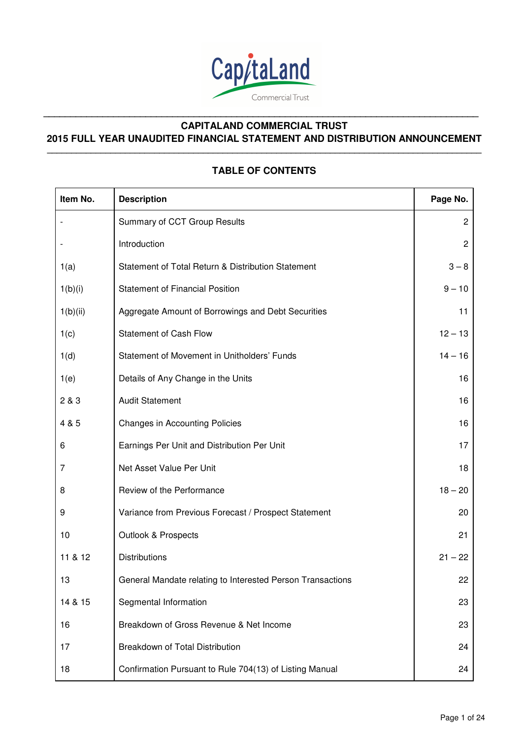

# **CAPITALAND COMMERCIAL TRUST 2015 FULL YEAR UNAUDITED FINANCIAL STATEMENT AND DISTRIBUTION ANNOUNCEMENT \_\_\_\_\_\_\_\_\_\_\_\_\_\_\_\_\_\_\_\_\_\_\_\_\_\_\_\_\_\_\_\_\_\_\_\_\_\_\_\_\_\_\_\_\_\_\_\_\_\_\_\_\_\_\_\_\_\_\_\_\_\_\_\_\_\_\_\_\_\_\_\_\_\_\_\_\_\_\_\_\_\_\_\_\_\_\_\_\_**

**\_\_\_\_\_\_\_\_\_\_\_\_\_\_\_\_\_\_\_\_\_\_\_\_\_\_\_\_\_\_\_\_\_\_\_\_\_\_\_\_\_\_\_\_\_\_\_\_\_\_\_\_\_\_\_\_\_\_\_\_\_\_\_\_\_\_\_\_\_\_\_\_\_\_\_\_\_\_\_\_\_** 

# **TABLE OF CONTENTS**

| Item No. | <b>Description</b>                                         | Page No.       |
|----------|------------------------------------------------------------|----------------|
|          | Summary of CCT Group Results                               | $\overline{2}$ |
|          | Introduction                                               | $\overline{2}$ |
| 1(a)     | Statement of Total Return & Distribution Statement         | $3 - 8$        |
| 1(b)(i)  | <b>Statement of Financial Position</b>                     | $9 - 10$       |
| 1(b)(ii) | Aggregate Amount of Borrowings and Debt Securities         | 11             |
| 1(c)     | <b>Statement of Cash Flow</b>                              | $12 - 13$      |
| 1(d)     | Statement of Movement in Unitholders' Funds                | $14 - 16$      |
| 1(e)     | Details of Any Change in the Units                         | 16             |
| 2 & 3    | <b>Audit Statement</b>                                     | 16             |
| 4 & 5    | <b>Changes in Accounting Policies</b>                      | 16             |
| 6        | Earnings Per Unit and Distribution Per Unit                | 17             |
| 7        | Net Asset Value Per Unit                                   | 18             |
| 8        | Review of the Performance                                  | $18 - 20$      |
| 9        | Variance from Previous Forecast / Prospect Statement       | 20             |
| 10       | <b>Outlook &amp; Prospects</b>                             | 21             |
| 11 & 12  | <b>Distributions</b>                                       | $21 - 22$      |
| 13       | General Mandate relating to Interested Person Transactions | 22             |
| 14 & 15  | Segmental Information                                      | 23             |
| 16       | Breakdown of Gross Revenue & Net Income                    | 23             |
| 17       | Breakdown of Total Distribution                            | 24             |
| 18       | Confirmation Pursuant to Rule 704(13) of Listing Manual    | 24             |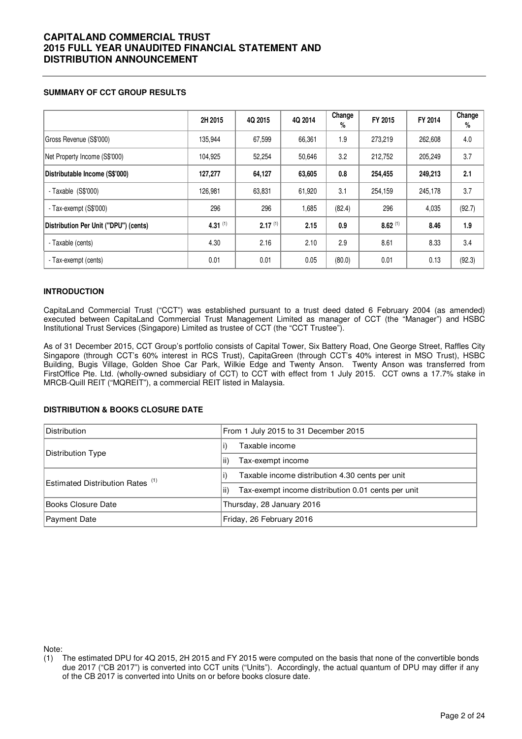### **SUMMARY OF CCT GROUP RESULTS**

|                                       | 2H 2015    | 4Q 2015      | 4Q 2014 | Change<br>% | FY 2015      | FY 2014 | Change<br>% |
|---------------------------------------|------------|--------------|---------|-------------|--------------|---------|-------------|
| Gross Revenue (S\$'000)               | 135,944    | 67,599       | 66,361  | 1.9         | 273.219      | 262,608 | 4.0         |
| Net Property Income (S\$'000)         | 104,925    | 52,254       | 50,646  | 3.2         | 212,752      | 205.249 | 3.7         |
| Distributable Income (S\$'000)        | 127,277    | 64,127       | 63,605  | 0.8         | 254,455      | 249,213 | 2.1         |
| - Taxable $(S$'000)$                  | 126,981    | 63,831       | 61,920  | 3.1         | 254,159      | 245,178 | 3.7         |
| - Tax-exempt (S\$'000)                | 296        | 296          | 1,685   | (82.4)      | 296          | 4,035   | (92.7)      |
| Distribution Per Unit ("DPU") (cents) | 4.31 $(1)$ | $2.17^{(1)}$ | 2.15    | 0.9         | $8.62^{(1)}$ | 8.46    | 1.9         |
| - Taxable (cents)                     | 4.30       | 2.16         | 2.10    | 2.9         | 8.61         | 8.33    | 3.4         |
| - Tax-exempt (cents)                  | 0.01       | 0.01         | 0.05    | (80.0)      | 0.01         | 0.13    | (92.3)      |

### **INTRODUCTION**

CapitaLand Commercial Trust ("CCT") was established pursuant to a trust deed dated 6 February 2004 (as amended) executed between CapitaLand Commercial Trust Management Limited as manager of CCT (the "Manager") and HSBC Institutional Trust Services (Singapore) Limited as trustee of CCT (the "CCT Trustee").

As of 31 December 2015, CCT Group's portfolio consists of Capital Tower, Six Battery Road, One George Street, Raffles City Singapore (through CCT's 60% interest in RCS Trust), CapitaGreen (through CCT's 40% interest in MSO Trust), HSBC Building, Bugis Village, Golden Shoe Car Park, Wilkie Edge and Twenty Anson. Twenty Anson was transferred from FirstOffice Pte. Ltd. (wholly-owned subsidiary of CCT) to CCT with effect from 1 July 2015. CCT owns a 17.7% stake in MRCB-Quill REIT ("MQREIT"), a commercial REIT listed in Malaysia.

### **DISTRIBUTION & BOOKS CLOSURE DATE**

| <b>Distribution</b>                         | From 1 July 2015 to 31 December 2015                       |  |  |  |  |
|---------------------------------------------|------------------------------------------------------------|--|--|--|--|
| Distribution Type                           | Taxable income                                             |  |  |  |  |
|                                             | Tax-exempt income<br>lii)                                  |  |  |  |  |
| Estimated Distribution Rates <sup>(1)</sup> | Taxable income distribution 4.30 cents per unit            |  |  |  |  |
|                                             | lii)<br>Tax-exempt income distribution 0.01 cents per unit |  |  |  |  |
| Books Closure Date                          | Thursday, 28 January 2016                                  |  |  |  |  |
| Payment Date                                | Friday, 26 February 2016                                   |  |  |  |  |

Note:

<sup>(1)</sup> The estimated DPU for 4Q 2015, 2H 2015 and FY 2015 were computed on the basis that none of the convertible bonds due 2017 ("CB 2017") is converted into CCT units ("Units"). Accordingly, the actual quantum of DPU may differ if any of the CB 2017 is converted into Units on or before books closure date.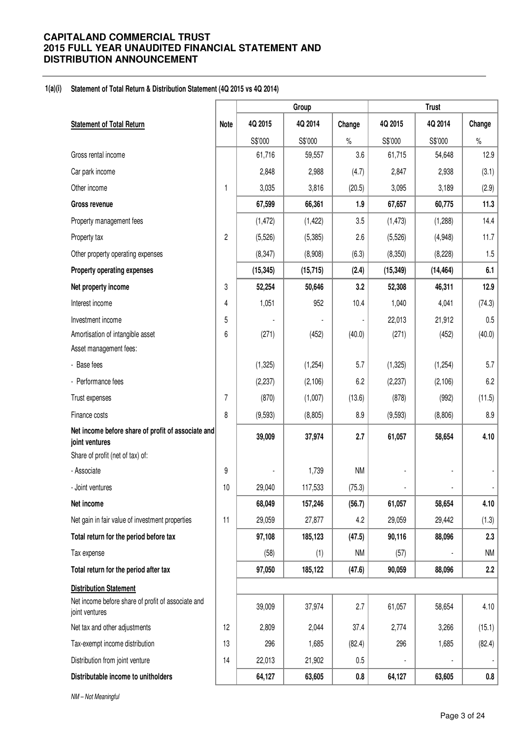### **1(a)(i) Statement of Total Return & Distribution Statement (4Q 2015 vs 4Q 2014)**

|                                                                      |             |           | Group     |           | <b>Trust</b> |           |           |
|----------------------------------------------------------------------|-------------|-----------|-----------|-----------|--------------|-----------|-----------|
| <b>Statement of Total Return</b>                                     | <b>Note</b> | 4Q 2015   | 4Q 2014   | Change    | 4Q 2015      | 4Q 2014   | Change    |
|                                                                      |             | S\$'000   | S\$'000   | $\%$      | S\$'000      | S\$'000   | $\%$      |
| Gross rental income                                                  |             | 61,716    | 59,557    | 3.6       | 61,715       | 54,648    | 12.9      |
| Car park income                                                      |             | 2,848     | 2,988     | (4.7)     | 2,847        | 2,938     | (3.1)     |
| Other income                                                         | 1           | 3,035     | 3,816     | (20.5)    | 3,095        | 3,189     | (2.9)     |
| Gross revenue                                                        |             | 67,599    | 66,361    | 1.9       | 67,657       | 60,775    | 11.3      |
| Property management fees                                             |             | (1, 472)  | (1, 422)  | 3.5       | (1, 473)     | (1,288)   | 14.4      |
| Property tax                                                         | 2           | (5,526)   | (5,385)   | 2.6       | (5, 526)     | (4,948)   | 11.7      |
| Other property operating expenses                                    |             | (8, 347)  | (8,908)   | (6.3)     | (8,350)      | (8, 228)  | 1.5       |
| Property operating expenses                                          |             | (15, 345) | (15, 715) | (2.4)     | (15, 349)    | (14, 464) | 6.1       |
| Net property income                                                  | 3           | 52,254    | 50,646    | 3.2       | 52,308       | 46,311    | 12.9      |
| Interest income                                                      | 4           | 1,051     | 952       | 10.4      | 1,040        | 4,041     | (74.3)    |
| Investment income                                                    | 5           |           |           |           | 22,013       | 21,912    | 0.5       |
| Amortisation of intangible asset                                     | 6           | (271)     | (452)     | (40.0)    | (271)        | (452)     | (40.0)    |
| Asset management fees:                                               |             |           |           |           |              |           |           |
| - Base fees                                                          |             | (1,325)   | (1,254)   | 5.7       | (1, 325)     | (1,254)   | 5.7       |
| - Performance fees                                                   |             | (2, 237)  | (2, 106)  | 6.2       | (2, 237)     | (2, 106)  | 6.2       |
| Trust expenses                                                       | 7           | (870)     | (1,007)   | (13.6)    | (878)        | (992)     | (11.5)    |
| Finance costs                                                        | 8           | (9,593)   | (8, 805)  | 8.9       | (9,593)      | (8,806)   | 8.9       |
| Net income before share of profit of associate and<br>joint ventures |             | 39,009    | 37,974    | 2.7       | 61,057       | 58,654    | 4.10      |
| Share of profit (net of tax) of:                                     |             |           |           |           |              |           |           |
| - Associate                                                          | 9           |           | 1,739     | <b>NM</b> |              |           |           |
| - Joint ventures                                                     | 10          | 29,040    | 117,533   | (75.3)    |              |           |           |
| Net income                                                           |             | 68,049    | 157,246   | (56.7)    | 61,057       | 58,654    | 4.10      |
| Net gain in fair value of investment properties                      | 11          | 29,059    | 27,877    | 4.2       | 29,059       | 29,442    | (1.3)     |
| Total return for the period before tax                               |             | 97,108    | 185,123   | (47.5)    | 90,116       | 88,096    | 2.3       |
| Tax expense                                                          |             | (58)      | (1)       | <b>NM</b> | (57)         |           | <b>NM</b> |
| Total return for the period after tax                                |             | 97,050    | 185,122   | (47.6)    | 90,059       | 88,096    | 2.2       |
| <b>Distribution Statement</b>                                        |             |           |           |           |              |           |           |
| Net income before share of profit of associate and<br>joint ventures |             | 39,009    | 37,974    | 2.7       | 61,057       | 58,654    | 4.10      |
| Net tax and other adjustments                                        | 12          | 2,809     | 2,044     | 37.4      | 2,774        | 3,266     | (15.1)    |
| Tax-exempt income distribution                                       | 13          | 296       | 1,685     | (82.4)    | 296          | 1,685     | (82.4)    |
| Distribution from joint venture                                      | 14          | 22,013    | 21,902    | 0.5       |              |           |           |
| Distributable income to unitholders                                  |             | 64,127    | 63,605    | $0.8\,$   | 64,127       | 63,605    | $0.8\,$   |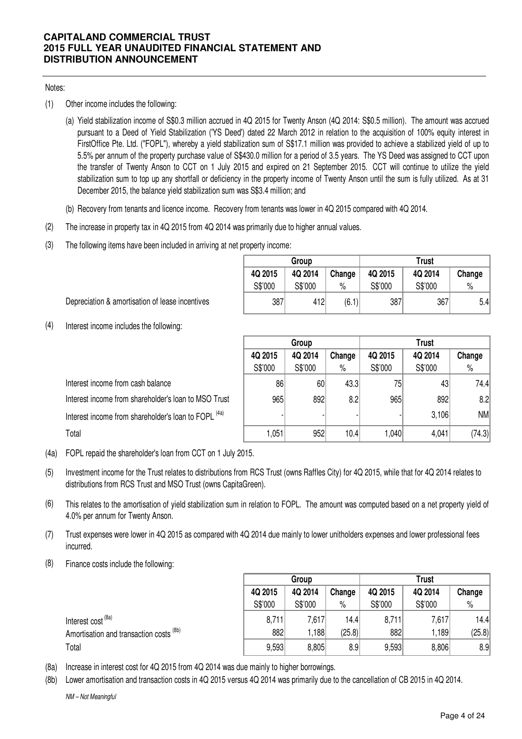### Notes:

- (1) Other income includes the following:
	- (a) Yield stabilization income of S\$0.3 million accrued in 4Q 2015 for Twenty Anson (4Q 2014: S\$0.5 million). The amount was accrued pursuant to a Deed of Yield Stabilization ('YS Deed') dated 22 March 2012 in relation to the acquisition of 100% equity interest in FirstOffice Pte. Ltd. ("FOPL"), whereby a yield stabilization sum of S\$17.1 million was provided to achieve a stabilized yield of up to 5.5% per annum of the property purchase value of S\$430.0 million for a period of 3.5 years. The YS Deed was assigned to CCT upon the transfer of Twenty Anson to CCT on 1 July 2015 and expired on 21 September 2015. CCT will continue to utilize the yield stabilization sum to top up any shortfall or deficiency in the property income of Twenty Anson until the sum is fully utilized. As at 31 December 2015, the balance yield stabilization sum was S\$3.4 million; and
	- (b) Recovery from tenants and licence income. Recovery from tenants was lower in 4Q 2015 compared with 4Q 2014.
- (2) The increase in property tax in 4Q 2015 from 4Q 2014 was primarily due to higher annual values.
- (3) The following items have been included in arriving at net property income:

|                    | Group              |                | Trust              |                    |                |  |  |  |
|--------------------|--------------------|----------------|--------------------|--------------------|----------------|--|--|--|
| 4Q 2015<br>S\$'000 | 4Q 2014<br>S\$'000 | Change<br>$\%$ | 4Q 2015<br>S\$'000 | 4Q 2014<br>S\$'000 | Change<br>$\%$ |  |  |  |
| 387                | 412                | (6.1)          | 387                | 367                | 5.4            |  |  |  |

Depreciation & amortisation of lease incentives

(4) Interest income includes the following:

|                                                                 |                              | Group           |      | <b>Trust</b> |         |        |  |
|-----------------------------------------------------------------|------------------------------|-----------------|------|--------------|---------|--------|--|
|                                                                 | 4Q 2015<br>4Q 2014<br>Change |                 |      | 4Q 2015      | 4Q 2014 | Change |  |
|                                                                 | S\$'000                      | S\$'000         | $\%$ | S\$'000      | S\$'000 | $\%$   |  |
| Interest income from cash balance                               | 86                           | 60 <sub>1</sub> | 43.3 | 75           | 43      | 74.4   |  |
| Interest income from shareholder's loan to MSO Trust            | 965                          | 892             | 8.2  | 965          | 892     | 8.2    |  |
| Interest income from shareholder's loan to FOPL <sup>(4a)</sup> |                              |                 |      |              | 3,106   | NM     |  |
| Total                                                           | 1,051                        | 952             | 10.4 | .040         | 4,041   | (74.3) |  |

(4a) FOPL repaid the shareholder's loan from CCT on 1 July 2015.

- (5) Investment income for the Trust relates to distributions from RCS Trust (owns Raffles City) for 4Q 2015, while that for 4Q 2014 relates to distributions from RCS Trust and MSO Trust (owns CapitaGreen).
- (6) This relates to the amortisation of yield stabilization sum in relation to FOPL. The amount was computed based on a net property yield of 4.0% per annum for Twenty Anson.
- (7) Trust expenses were lower in 4Q 2015 as compared with 4Q 2014 due mainly to lower unitholders expenses and lower professional fees incurred.
- (8) Finance costs include the following:

|                                         | Group   |         |        | <b>Trust</b> |         |        |  |
|-----------------------------------------|---------|---------|--------|--------------|---------|--------|--|
|                                         | 4Q 2015 | 4Q 2014 | Change | 4Q 2015      | 4Q 2014 | Change |  |
|                                         | S\$'000 | S\$'000 | $\%$   | S\$'000      | S\$'000 | $\%$   |  |
| Interest cost <sup>(8a)</sup>           | 8,711   | 7,617   | 14.4   | 8,711        | 7,617   | 14.4   |  |
| Amortisation and transaction costs (8b) | 882     | .188    | (25.8) | 882          | ,189    | (25.8) |  |
| Total                                   | 9,593   | 8,805   | 8.9    | 9,593        | 8,806   | 8.9    |  |

- (8a) Increase in interest cost for 4Q 2015 from 4Q 2014 was due mainly to higher borrowings.
- (8b) Lower amortisation and transaction costs in 4Q 2015 versus 4Q 2014 was primarily due to the cancellation of CB 2015 in 4Q 2014.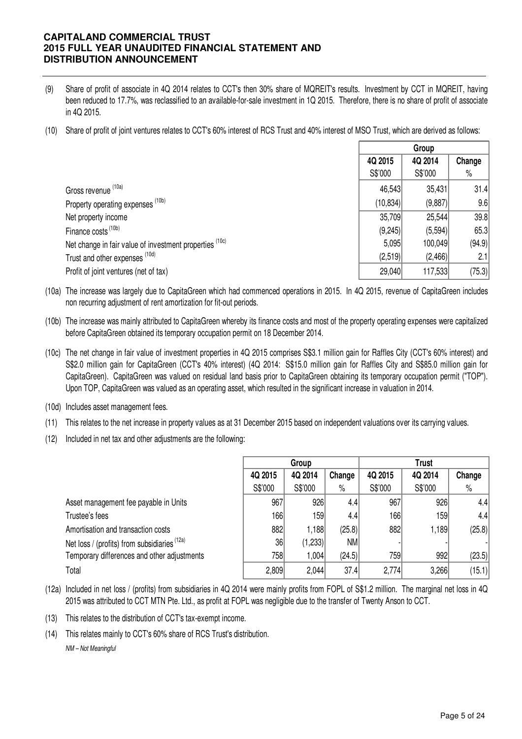- (9) Share of profit of associate in 4Q 2014 relates to CCT's then 30% share of MQREIT's results. Investment by CCT in MQREIT, having been reduced to 17.7%, was reclassified to an available-for-sale investment in 1Q 2015. Therefore, there is no share of profit of associate in 4Q 2015.
- (10) Share of profit of joint ventures relates to CCT's 60% interest of RCS Trust and 40% interest of MSO Trust, which are derived as follows:

|                                                         |           | Group   |        |
|---------------------------------------------------------|-----------|---------|--------|
|                                                         | 4Q 2015   | 4Q 2014 | Change |
|                                                         | S\$'000   | S\$'000 | $\%$   |
| Gross revenue (10a)                                     | 46,543    | 35,431  | 31.4   |
| Property operating expenses (10b)                       | (10, 834) | (9,887) | 9.6    |
| Net property income                                     | 35,709    | 25,544  | 39.8   |
| Finance costs <sup>(10b)</sup>                          | (9,245)   | (5,594) | 65.3   |
| Net change in fair value of investment properties (10c) | 5,095     | 100,049 | (94.9) |
| Trust and other expenses (10d)                          | (2,519)   | (2,466) | 2.1    |
| Profit of joint ventures (net of tax)                   | 29,040    | 117,533 | (75.3) |

(10a) The increase was largely due to CapitaGreen which had commenced operations in 2015. In 4Q 2015, revenue of CapitaGreen includes non recurring adjustment of rent amortization for fit-out periods.

- (10b) The increase was mainly attributed to CapitaGreen whereby its finance costs and most of the property operating expenses were capitalized before CapitaGreen obtained its temporary occupation permit on 18 December 2014.
- (10c) The net change in fair value of investment properties in 4Q 2015 comprises S\$3.1 million gain for Raffles City (CCT's 60% interest) and S\$2.0 million gain for CapitaGreen (CCT's 40% interest) (4Q 2014: S\$15.0 million gain for Raffles City and S\$85.0 million gain for CapitaGreen). CapitaGreen was valued on residual land basis prior to CapitaGreen obtaining its temporary occupation permit ("TOP"). Upon TOP, CapitaGreen was valued as an operating asset, which resulted in the significant increase in valuation in 2014.
- (10d) Includes asset management fees.
- (11) This relates to the net increase in property values as at 31 December 2015 based on independent valuations over its carrying values.
- (12) Included in net tax and other adjustments are the following:

|                                              |         | Group   |           | <b>Trust</b> |         |        |  |
|----------------------------------------------|---------|---------|-----------|--------------|---------|--------|--|
|                                              | 4Q 2015 | 4Q 2014 | Change    | 4Q 2015      | 4Q 2014 | Change |  |
|                                              | S\$'000 | S\$'000 | $\%$      | S\$'000      | S\$'000 | $\%$   |  |
| Asset management fee payable in Units        | 967     | 926     | 4.4       | 967          | 926     | 4.4    |  |
| Trustee's fees                               | 166     | 159     | 4.4       | 166          | 159     | 4.4    |  |
| Amortisation and transaction costs           | 882     | 1,188   | (25.8)    | 882          | 1,189   | (25.8) |  |
| Net loss / (profits) from subsidiaries (12a) | 36      | (1,233) | <b>NM</b> |              |         |        |  |
| Temporary differences and other adjustments  | 758     | 1,004   | (24.5)    | 759          | 992     | (23.5) |  |
| Total                                        | 2,809   | 2,044   | 37.4      | 2,774        | 3,266   | (15.1) |  |

- (12a) Included in net loss / (profits) from subsidiaries in 4Q 2014 were mainly profits from FOPL of S\$1.2 million. The marginal net loss in 4Q 2015 was attributed to CCT MTN Pte. Ltd., as profit at FOPL was negligible due to the transfer of Twenty Anson to CCT.
- (13) This relates to the distribution of CCT's tax-exempt income.
- (14) This relates mainly to CCT's 60% share of RCS Trust's distribution. NM – Not Meaningful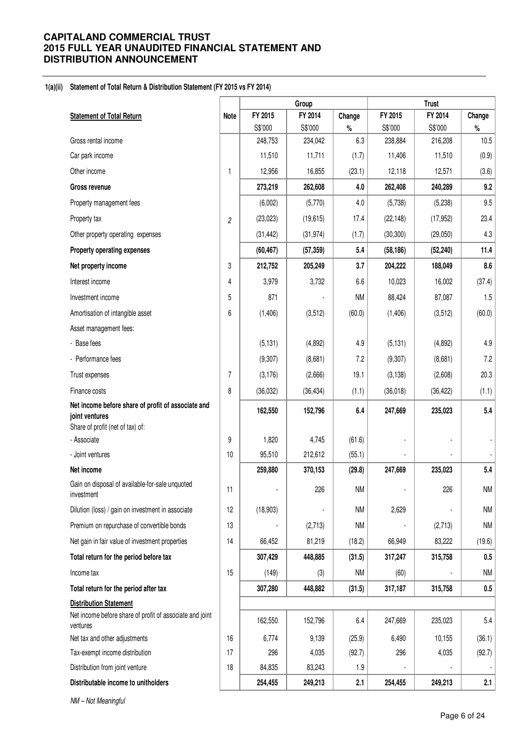### **1(a)(ii) Statement of Total Return & Distribution Statement (FY 2015 vs FY 2014)**

|                                                                                                          |                |           | Group     |           |           | <b>Trust</b> |           |
|----------------------------------------------------------------------------------------------------------|----------------|-----------|-----------|-----------|-----------|--------------|-----------|
| <b>Statement of Total Return</b>                                                                         | <b>Note</b>    | FY 2015   | FY 2014   | Change    | FY 2015   | FY 2014      | Change    |
|                                                                                                          |                | S\$'000   | S\$'000   | $\%$      | S\$'000   | S\$'000      | $\%$      |
| Gross rental income                                                                                      |                | 248,753   | 234,042   | 6.3       | 238,884   | 216,208      | 10.5      |
| Car park income                                                                                          |                | 11,510    | 11,711    | (1.7)     | 11,406    | 11,510       | (0.9)     |
| Other income                                                                                             | 1              | 12,956    | 16,855    | (23.1)    | 12,118    | 12,571       | (3.6)     |
| Gross revenue                                                                                            |                | 273,219   | 262,608   | 4.0       | 262,408   | 240,289      | 9.2       |
| Property management fees                                                                                 |                | (6,002)   | (5,770)   | 4.0       | (5,738)   | (5,238)      | 9.5       |
| Property tax                                                                                             | $\overline{c}$ | (23, 023) | (19, 615) | 17.4      | (22, 148) | (17, 952)    | 23.4      |
| Other property operating expenses                                                                        |                | (31, 442) | (31, 974) | (1.7)     | (30, 300) | (29,050)     | 4.3       |
| Property operating expenses                                                                              |                | (60, 467) | (57, 359) | 5.4       | (58, 186) | (52, 240)    | 11.4      |
| Net property income                                                                                      | 3              | 212,752   | 205,249   | 3.7       | 204,222   | 188,049      | 8.6       |
| Interest income                                                                                          | 4              | 3,979     | 3,732     | 6.6       | 10,023    | 16,002       | (37.4)    |
| Investment income                                                                                        | 5              | 871       |           | <b>NM</b> | 88,424    | 87,087       | 1.5       |
| Amortisation of intangible asset                                                                         | 6              | (1, 406)  | (3, 512)  | (60.0)    | (1,406)   | (3, 512)     | (60.0)    |
| Asset management fees:                                                                                   |                |           |           |           |           |              |           |
| - Base fees                                                                                              |                | (5, 131)  | (4,892)   | 4.9       | (5, 131)  | (4,892)      | 4.9       |
| - Performance fees                                                                                       |                | (9,307)   | (8,681)   | 7.2       | (9,307)   | (8,681)      | 7.2       |
| Trust expenses                                                                                           | 7              | (3, 176)  | (2,666)   | 19.1      | (3, 138)  | (2,608)      | 20.3      |
| Finance costs                                                                                            | 8              | (36, 032) | (36, 434) | (1.1)     | (36,018)  | (36, 422)    | (1.1)     |
| Net income before share of profit of associate and<br>joint ventures<br>Share of profit (net of tax) of: |                | 162,550   | 152,796   | 6.4       | 247,669   | 235,023      | 5.4       |
| - Associate                                                                                              | 9              | 1,820     | 4,745     | (61.6)    |           |              |           |
| - Joint ventures                                                                                         | 10             | 95,510    | 212,612   | (55.1)    |           |              |           |
| Net income                                                                                               |                | 259,880   | 370,153   | (29.8)    | 247,669   | 235,023      | 5.4       |
| Gain on disposal of available-for-sale unquoted<br>investment                                            | 11             |           | 226       | <b>NM</b> |           | 226          | <b>NM</b> |
| Dilution (loss) / gain on investment in associate                                                        | 12             | (18,903)  |           | <b>NM</b> | 2,629     |              | <b>NM</b> |
| Premium on repurchase of convertible bonds                                                               | 13             |           | (2,713)   | <b>NM</b> |           | (2,713)      | <b>NM</b> |
| Net gain in fair value of investment properties                                                          | 14             | 66,452    | 81,219    | (18.2)    | 66,949    | 83,222       | (19.6)    |
| Total return for the period before tax                                                                   |                | 307,429   | 448,885   | (31.5)    | 317,247   | 315,758      | $0.5\,$   |
| Income tax                                                                                               | 15             | (149)     | (3)       | <b>NM</b> | (60)      |              | <b>NM</b> |
| Total return for the period after tax                                                                    |                | 307,280   | 448,882   | (31.5)    | 317,187   | 315,758      | $0.5\,$   |
| <b>Distribution Statement</b>                                                                            |                |           |           |           |           |              |           |
| Net income before share of profit of associate and joint<br>ventures                                     |                | 162,550   | 152,796   | 6.4       | 247,669   | 235,023      | 5.4       |
| Net tax and other adjustments                                                                            | 16             | 6,774     | 9,139     | (25.9)    | 6,490     | 10,155       | (36.1)    |
| Tax-exempt income distribution                                                                           | 17             | 296       | 4,035     | (92.7)    | 296       | 4,035        | (92.7)    |
| Distribution from joint venture                                                                          | 18             | 84,835    | 83,243    | 1.9       |           |              |           |
| Distributable income to unitholders                                                                      |                | 254,455   | 249,213   | 2.1       | 254,455   | 249,213      | 2.1       |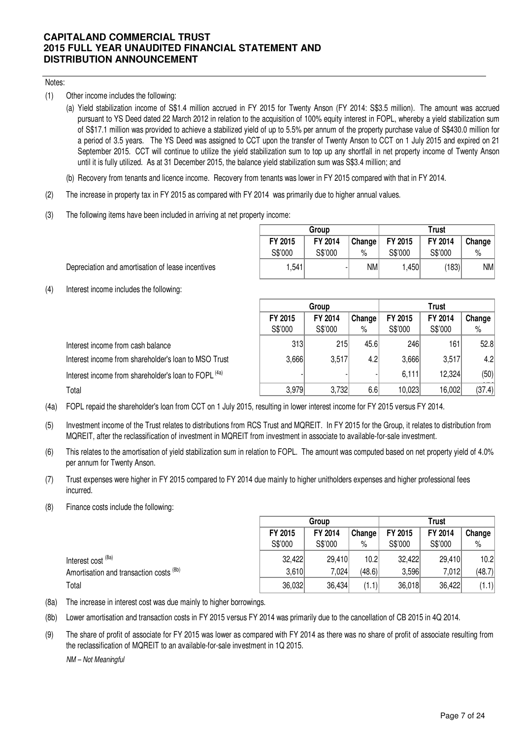### Notes:

- (1) Other income includes the following:
	- (a) Yield stabilization income of S\$1.4 million accrued in FY 2015 for Twenty Anson (FY 2014: S\$3.5 million). The amount was accrued pursuant to YS Deed dated 22 March 2012 in relation to the acquisition of 100% equity interest in FOPL, whereby a yield stabilization sum of S\$17.1 million was provided to achieve a stabilized yield of up to 5.5% per annum of the property purchase value of S\$430.0 million for a period of 3.5 years. The YS Deed was assigned to CCT upon the transfer of Twenty Anson to CCT on 1 July 2015 and expired on 21 September 2015. CCT will continue to utilize the yield stabilization sum to top up any shortfall in net property income of Twenty Anson until it is fully utilized. As at 31 December 2015, the balance yield stabilization sum was S\$3.4 million; and
	- (b) Recovery from tenants and licence income. Recovery from tenants was lower in FY 2015 compared with that in FY 2014.
- (2) The increase in property tax in FY 2015 as compared with FY 2014 was primarily due to higher annual values.
- (3) The following items have been included in arriving at net property income:

|         | Group   |        | Trust   |         |        |  |  |
|---------|---------|--------|---------|---------|--------|--|--|
| FY 2015 | FY 2014 | Change | FY 2015 | FY 2014 | Change |  |  |
| S\$'000 | S\$'000 | %      | S\$'000 | S\$'000 | %      |  |  |
| 1.541   |         | NMI    | 1.450   | (183)   | NMI    |  |  |

Depreciation and amortisation of lease incentives

(4) Interest income includes the following:

|                                                                 |         | Group   |        | <b>Trust</b> |         |        |  |
|-----------------------------------------------------------------|---------|---------|--------|--------------|---------|--------|--|
|                                                                 | FY 2015 | FY 2014 | Change | FY 2015      | FY 2014 | Change |  |
|                                                                 | S\$'000 | S\$'000 | %      | S\$'000      | S\$'000 | %      |  |
| Interest income from cash balance                               | 313     | 215     | 45.6   | 246          | 161     | 52.8   |  |
| Interest income from shareholder's loan to MSO Trust            | 3,666   | 3,517   | 4.2    | 3,666        | 3,517   | 4.2    |  |
| Interest income from shareholder's loan to FOPL <sup>(4a)</sup> |         |         |        | 6,111        | 12,324  | (50)   |  |
| Total                                                           | 3,979   | 3,732   | 6.6    | 10,023       | 16,002  | (37.4) |  |

- (4a) FOPL repaid the shareholder's loan from CCT on 1 July 2015, resulting in lower interest income for FY 2015 versus FY 2014.
- (5) Investment income of the Trust relates to distributions from RCS Trust and MQREIT. In FY 2015 for the Group, it relates to distribution from MQREIT, after the reclassification of investment in MQREIT from investment in associate to available-for-sale investment.
- (6) This relates to the amortisation of yield stabilization sum in relation to FOPL. The amount was computed based on net property yield of 4.0% per annum for Twenty Anson.
- (7) Trust expenses were higher in FY 2015 compared to FY 2014 due mainly to higher unitholders expenses and higher professional fees incurred.
- (8) Finance costs include the following:

|                                         | Group   |         |        | Trust   |         |        |
|-----------------------------------------|---------|---------|--------|---------|---------|--------|
|                                         | FY 2015 | FY 2014 | Change | FY 2015 | FY 2014 | Change |
|                                         | S\$'000 | S\$'000 | $\%$   | S\$'000 | S\$'000 | %      |
| Interest cost <sup>(8a)</sup>           | 32,422  | 29,410  | 10.2   | 32,422  | 29,410  | 10.2   |
| Amortisation and transaction costs (8b) | 3,610   | 7,024   | (48.6) | 3,596   | 7,012   | (48.7) |
| Total                                   | 36,032  | 36,434  | (1.1)  | 36,018  | 36,422  | (1.1)  |

- (8a) The increase in interest cost was due mainly to higher borrowings.
- (8b) Lower amortisation and transaction costs in FY 2015 versus FY 2014 was primarily due to the cancellation of CB 2015 in 4Q 2014.
- (9) The share of profit of associate for FY 2015 was lower as compared with FY 2014 as there was no share of profit of associate resulting from the reclassification of MQREIT to an available-for-sale investment in 1Q 2015.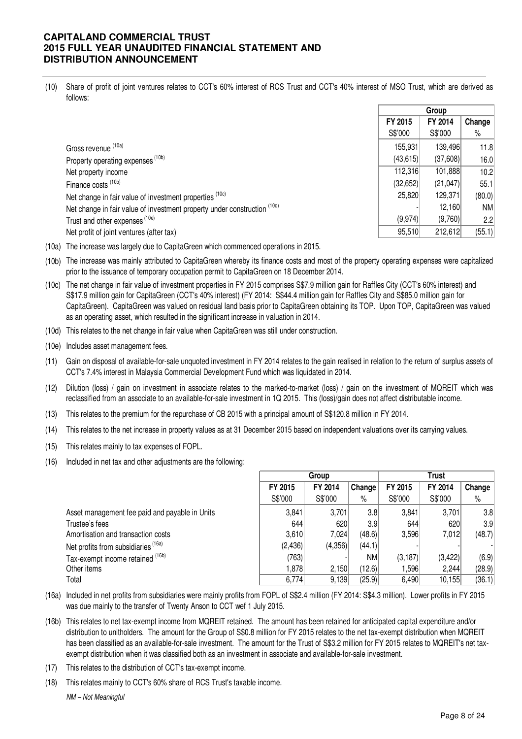(10) Share of profit of joint ventures relates to CCT's 60% interest of RCS Trust and CCT's 40% interest of MSO Trust, which are derived as follows:

|                                                                          | Group     |          |           |
|--------------------------------------------------------------------------|-----------|----------|-----------|
|                                                                          | FY 2015   | FY 2014  | Change    |
|                                                                          | S\$'000   | S\$'000  | $\%$      |
| Gross revenue (10a)                                                      | 155,931   | 139,496  | 11.8      |
| Property operating expenses <sup>(10b)</sup>                             | (43, 615) | (37,608) | 16.0      |
| Net property income                                                      | 112,316   | 101,888  | 10.2      |
| Finance costs <sup>(10b)</sup>                                           | (32, 652) | (21,047) | 55.1      |
| Net change in fair value of investment properties (10c)                  | 25,820    | 129,371  | (80.0)    |
| Net change in fair value of investment property under construction (10d) |           | 12,160   | <b>NM</b> |
| Trust and other expenses <sup>(10e)</sup>                                | (9,974)   | (9,760)  | 2.2       |
| Net profit of joint ventures (after tax)                                 | 95,510    | 212,612  | (55.1)    |

(10a) The increase was largely due to CapitaGreen which commenced operations in 2015.

(10b) The increase was mainly attributed to CapitaGreen whereby its finance costs and most of the property operating expenses were capitalized prior to the issuance of temporary occupation permit to CapitaGreen on 18 December 2014.

- (10c) The net change in fair value of investment properties in FY 2015 comprises S\$7.9 million gain for Raffles City (CCT's 60% interest) and S\$17.9 million gain for CapitaGreen (CCT's 40% interest) (FY 2014: S\$44.4 million gain for Raffles City and S\$85.0 million gain for CapitaGreen). CapitaGreen was valued on residual land basis prior to CapitaGreen obtaining its TOP. Upon TOP, CapitaGreen was valued as an operating asset, which resulted in the significant increase in valuation in 2014.
- (10d) This relates to the net change in fair value when CapitaGreen was still under construction.
- (10e) Includes asset management fees.
- (11) Gain on disposal of available-for-sale unquoted investment in FY 2014 relates to the gain realised in relation to the return of surplus assets of CCT's 7.4% interest in Malaysia Commercial Development Fund which was liquidated in 2014.
- (12) Dilution (loss) / gain on investment in associate relates to the marked-to-market (loss) / gain on the investment of MQREIT which was reclassified from an associate to an available-for-sale investment in 1Q 2015. This (loss)/gain does not affect distributable income.
- (13) This relates to the premium for the repurchase of CB 2015 with a principal amount of S\$120.8 million in FY 2014.
- (14) This relates to the net increase in property values as at 31 December 2015 based on independent valuations over its carrying values.
- (15) This relates mainly to tax expenses of FOPL.
- (16) Included in net tax and other adjustments are the following:

|                                                | Group   |         |           | Trust    |         |                  |
|------------------------------------------------|---------|---------|-----------|----------|---------|------------------|
|                                                | FY 2015 | FY 2014 | Change    | FY 2015  | FY 2014 | Change           |
|                                                | S\$'000 | S\$'000 | %         | S\$'000  | S\$'000 | $\%$             |
| Asset management fee paid and payable in Units | 3,841   | 3,701   | 3.8       | 3,841    | 3,701   | 3.8 <sub>l</sub> |
| Trustee's fees                                 | 644     | 620     | 3.9       | 644      | 620     | 3.9              |
| Amortisation and transaction costs             | 3,610   | 7.024   | (48.6)    | 3,596    | 7,012   | (48.7)           |
| Net profits from subsidiaries <sup>(16a)</sup> | (2,436) | (4,356) | (44.1)    |          |         |                  |
| Tax-exempt income retained (16b)               | (763)   |         | <b>NM</b> | (3, 187) | (3,422) | (6.9)            |
| Other items                                    | 1.8781  | 2,150   | (12.6)    | 596, ا   | 2,244   | (28.9)           |
| Total                                          | 6,774   | 9,139   | (25.9)    | 6,490    | 10,155  | (36.1)           |

- (16a) Included in net profits from subsidiaries were mainly profits from FOPL of S\$2.4 million (FY 2014: S\$4.3 million). Lower profits in FY 2015 was due mainly to the transfer of Twenty Anson to CCT wef 1 July 2015.
- (16b) This relates to net tax-exempt income from MQREIT retained. The amount has been retained for anticipated capital expenditure and/or distribution to unitholders. The amount for the Group of S\$0.8 million for FY 2015 relates to the net tax-exempt distribution when MQREIT has been classified as an available-for-sale investment. The amount for the Trust of S\$3.2 million for FY 2015 relates to MQREIT's net taxexempt distribution when it was classified both as an investment in associate and available-for-sale investment.
- (17) This relates to the distribution of CCT's tax-exempt income.
- (18) This relates mainly to CCT's 60% share of RCS Trust's taxable income. NM – Not Meaningful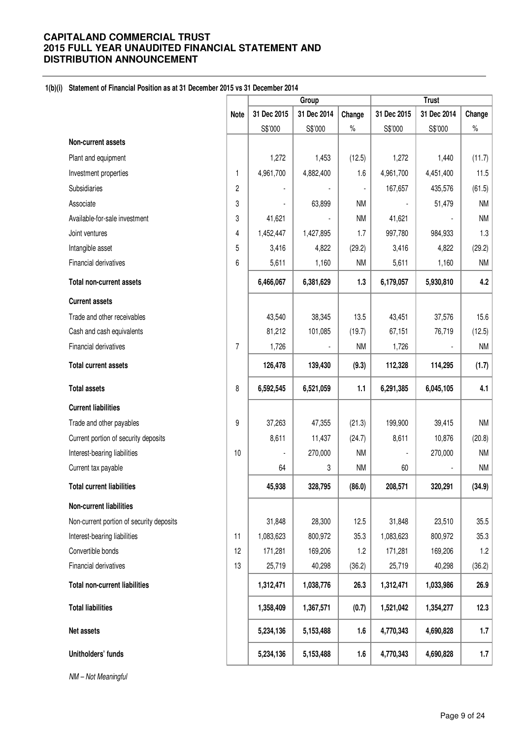### **1(b)(i) Statement of Financial Position as at 31 December 2015 vs 31 December 2014**

|                                          |             |             | <b>Trust</b><br>Group |                |             |             |           |
|------------------------------------------|-------------|-------------|-----------------------|----------------|-------------|-------------|-----------|
|                                          | <b>Note</b> | 31 Dec 2015 | 31 Dec 2014           | Change         | 31 Dec 2015 | 31 Dec 2014 | Change    |
|                                          |             | S\$'000     | S\$'000               | $\%$           | S\$'000     | S\$'000     | $\%$      |
| Non-current assets                       |             |             |                       |                |             |             |           |
| Plant and equipment                      |             | 1,272       | 1,453                 | (12.5)         | 1,272       | 1,440       | (11.7)    |
| Investment properties                    | 1           | 4,961,700   | 4,882,400             | 1.6            | 4,961,700   | 4,451,400   | 11.5      |
| Subsidiaries                             | 2           |             |                       | $\blacksquare$ | 167,657     | 435,576     | (61.5)    |
| Associate                                | 3           |             | 63,899                | <b>NM</b>      |             | 51,479      | <b>NM</b> |
| Available-for-sale investment            | 3           | 41,621      |                       | <b>NM</b>      | 41,621      |             | <b>NM</b> |
| Joint ventures                           | 4           | 1,452,447   | 1,427,895             | 1.7            | 997,780     | 984,933     | 1.3       |
| Intangible asset                         | 5           | 3,416       | 4,822                 | (29.2)         | 3,416       | 4,822       | (29.2)    |
| Financial derivatives                    | 6           | 5,611       | 1,160                 | <b>NM</b>      | 5,611       | 1,160       | <b>NM</b> |
| <b>Total non-current assets</b>          |             | 6,466,067   | 6,381,629             | 1.3            | 6,179,057   | 5,930,810   | 4.2       |
| <b>Current assets</b>                    |             |             |                       |                |             |             |           |
| Trade and other receivables              |             | 43,540      | 38,345                | 13.5           | 43,451      | 37,576      | 15.6      |
| Cash and cash equivalents                |             | 81,212      | 101,085               | (19.7)         | 67,151      | 76,719      | (12.5)    |
| Financial derivatives                    | 7           | 1,726       |                       | <b>NM</b>      | 1,726       |             | <b>NM</b> |
| <b>Total current assets</b>              |             | 126,478     | 139,430               | (9.3)          | 112,328     | 114,295     | (1.7)     |
| <b>Total assets</b>                      | 8           | 6,592,545   | 6,521,059             | 1.1            | 6,291,385   | 6,045,105   | 4.1       |
| <b>Current liabilities</b>               |             |             |                       |                |             |             |           |
| Trade and other payables                 | 9           | 37,263      | 47,355                | (21.3)         | 199,900     | 39,415      | <b>NM</b> |
| Current portion of security deposits     |             | 8,611       | 11,437                | (24.7)         | 8,611       | 10,876      | (20.8)    |
| Interest-bearing liabilities             | 10          |             | 270,000               | <b>NM</b>      |             | 270,000     | <b>NM</b> |
| Current tax payable                      |             | 64          | 3                     | <b>NM</b>      | 60          |             | <b>NM</b> |
| <b>Total current liabilities</b>         |             | 45,938      | 328,795               | (86.0)         | 208,571     | 320,291     | (34.9)    |
| Non-current liabilities                  |             |             |                       |                |             |             |           |
| Non-current portion of security deposits |             | 31,848      | 28,300                | 12.5           | 31,848      | 23,510      | 35.5      |
| Interest-bearing liabilities             | 11          | 1,083,623   | 800,972               | 35.3           | 1,083,623   | 800,972     | 35.3      |
| Convertible bonds                        | 12          | 171,281     | 169,206               | 1.2            | 171,281     | 169,206     | 1.2       |
| Financial derivatives                    | 13          | 25,719      | 40,298                | (36.2)         | 25,719      | 40,298      | (36.2)    |
| <b>Total non-current liabilities</b>     |             | 1,312,471   | 1,038,776             | 26.3           | 1,312,471   | 1,033,986   | 26.9      |
| <b>Total liabilities</b>                 |             | 1,358,409   | 1,367,571             | (0.7)          | 1,521,042   | 1,354,277   | 12.3      |
| Net assets                               |             | 5,234,136   | 5,153,488             | 1.6            | 4,770,343   | 4,690,828   | 1.7       |
| Unitholders' funds                       |             | 5,234,136   | 5,153,488             | 1.6            | 4,770,343   | 4,690,828   | 1.7       |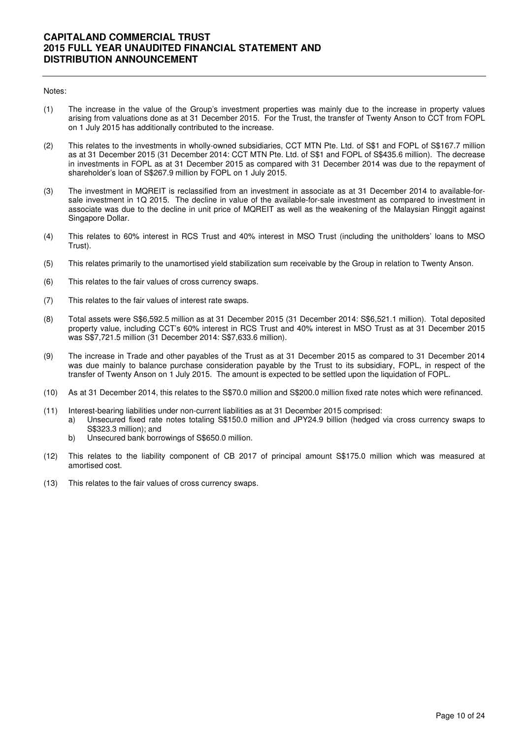#### Notes:

- (1) The increase in the value of the Group's investment properties was mainly due to the increase in property values arising from valuations done as at 31 December 2015. For the Trust, the transfer of Twenty Anson to CCT from FOPL on 1 July 2015 has additionally contributed to the increase.
- (2) This relates to the investments in wholly-owned subsidiaries, CCT MTN Pte. Ltd. of S\$1 and FOPL of S\$167.7 million as at 31 December 2015 (31 December 2014: CCT MTN Pte. Ltd. of S\$1 and FOPL of S\$435.6 million). The decrease in investments in FOPL as at 31 December 2015 as compared with 31 December 2014 was due to the repayment of shareholder's loan of S\$267.9 million by FOPL on 1 July 2015.
- (3) The investment in MQREIT is reclassified from an investment in associate as at 31 December 2014 to available-forsale investment in 1Q 2015. The decline in value of the available-for-sale investment as compared to investment in associate was due to the decline in unit price of MQREIT as well as the weakening of the Malaysian Ringgit against Singapore Dollar.
- (4) This relates to 60% interest in RCS Trust and 40% interest in MSO Trust (including the unitholders' loans to MSO Trust).
- (5) This relates primarily to the unamortised yield stabilization sum receivable by the Group in relation to Twenty Anson.
- (6) This relates to the fair values of cross currency swaps.
- (7) This relates to the fair values of interest rate swaps.
- (8) Total assets were S\$6,592.5 million as at 31 December 2015 (31 December 2014: S\$6,521.1 million). Total deposited property value, including CCT's 60% interest in RCS Trust and 40% interest in MSO Trust as at 31 December 2015 was S\$7,721.5 million (31 December 2014: S\$7,633.6 million).
- (9) The increase in Trade and other payables of the Trust as at 31 December 2015 as compared to 31 December 2014 was due mainly to balance purchase consideration payable by the Trust to its subsidiary, FOPL, in respect of the transfer of Twenty Anson on 1 July 2015. The amount is expected to be settled upon the liquidation of FOPL.
- (10) As at 31 December 2014, this relates to the S\$70.0 million and S\$200.0 million fixed rate notes which were refinanced.
- (11) Interest-bearing liabilities under non-current liabilities as at 31 December 2015 comprised:
	- a) Unsecured fixed rate notes totaling S\$150.0 million and JPY24.9 billion (hedged via cross currency swaps to S\$323.3 million); and
	- b) Unsecured bank borrowings of S\$650.0 million.
- (12) This relates to the liability component of CB 2017 of principal amount S\$175.0 million which was measured at amortised cost.
- (13) This relates to the fair values of cross currency swaps.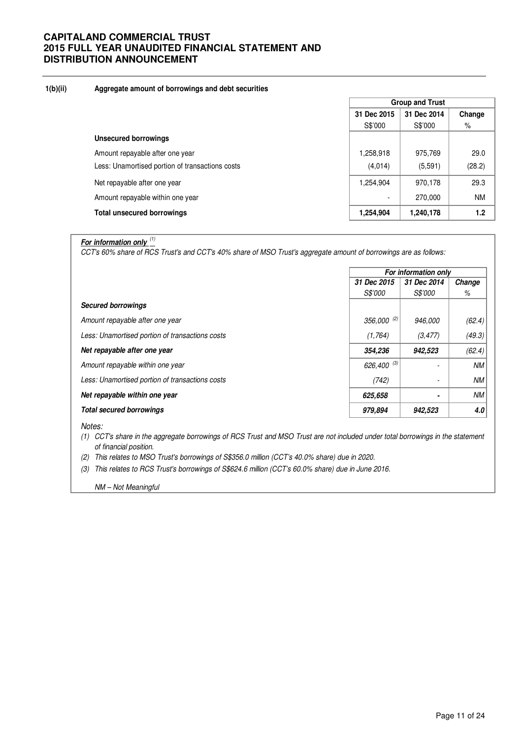### **1(b)(ii) Aggregate amount of borrowings and debt securities**

|                                                 | <b>Group and Trust</b>   |             |           |  |
|-------------------------------------------------|--------------------------|-------------|-----------|--|
|                                                 | 31 Dec 2015              | 31 Dec 2014 | Change    |  |
|                                                 | S\$'000                  | S\$'000     | %         |  |
| Unsecured borrowings                            |                          |             |           |  |
| Amount repayable after one year                 | 1,258,918                | 975,769     | 29.0      |  |
| Less: Unamortised portion of transactions costs | (4,014)                  | (5,591)     | (28.2)    |  |
| Net repayable after one year                    | 1,254,904                | 970,178     | 29.3      |  |
| Amount repayable within one year                | $\overline{\phantom{0}}$ | 270,000     | <b>NM</b> |  |
| <b>Total unsecured borrowings</b>               | 1,254,904                | 1,240,178   | 1.2       |  |

# **For information only** (1)

CCT's 60% share of RCS Trust's and CCT's 40% share of MSO Trust's aggregate amount of borrowings are as follows:

|                                                 |                       | For information only     |           |  |  |
|-------------------------------------------------|-----------------------|--------------------------|-----------|--|--|
|                                                 | 31 Dec 2015           | 31 Dec 2014              | Change    |  |  |
|                                                 | <i><b>S\$'000</b></i> | <i>S\$'000</i>           | %         |  |  |
| <b>Secured borrowings</b>                       |                       |                          |           |  |  |
| Amount repayable after one year                 | 356,000 (2)           | 946,000                  | (62.4)    |  |  |
| Less: Unamortised portion of transactions costs | (1,764)               | (3, 477)                 | (49.3)    |  |  |
| Net repayable after one year                    | 354,236               | 942,523                  | (62.4)    |  |  |
| Amount repayable within one year                | 626,400 $(3)$         |                          | <b>NM</b> |  |  |
| Less: Unamortised portion of transactions costs | (742)                 | $\overline{\phantom{a}}$ | <b>NM</b> |  |  |
| Net repayable within one year                   | 625,658               | $\blacksquare$           | <b>NM</b> |  |  |
| <b>Total secured borrowings</b>                 | 979,894               | 942,523                  | 4.0       |  |  |
| $\cdots$                                        |                       |                          |           |  |  |

Notes:

- (1) CCT's share in the aggregate borrowings of RCS Trust and MSO Trust are not included under total borrowings in the statement of financial position.
- (2) This relates to MSO Trust's borrowings of S\$356.0 million (CCT's 40.0% share) due in 2020.
- (3) This relates to RCS Trust's borrowings of S\$624.6 million (CCT's 60.0% share) due in June 2016.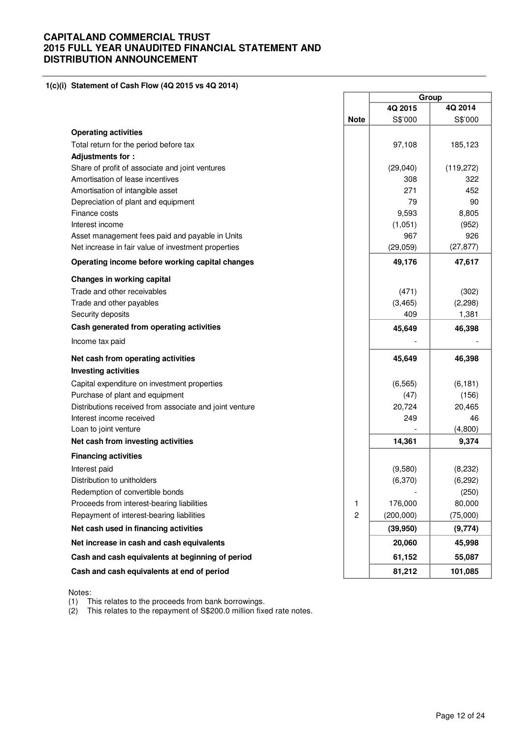**1(c)(i) Statement of Cash Flow (4Q 2015 vs 4Q 2014)** 

|                                                         |                | Group     |           |  |
|---------------------------------------------------------|----------------|-----------|-----------|--|
|                                                         |                | 4Q 2015   | 4Q 2014   |  |
|                                                         | <b>Note</b>    | S\$'000   | S\$'000   |  |
| <b>Operating activities</b>                             |                |           |           |  |
| Total return for the period before tax                  |                | 97,108    | 185,123   |  |
| Adjustments for:                                        |                |           |           |  |
| Share of profit of associate and joint ventures         |                | (29,040)  | (119,272) |  |
| Amortisation of lease incentives                        |                | 308       | 322       |  |
| Amortisation of intangible asset                        |                | 271       | 452       |  |
| Depreciation of plant and equipment                     |                | 79        | 90        |  |
| Finance costs                                           |                | 9,593     | 8,805     |  |
| Interest income                                         |                | (1,051)   | (952)     |  |
| Asset management fees paid and payable in Units         |                | 967       | 926       |  |
| Net increase in fair value of investment properties     |                | (29, 059) | (27, 877) |  |
| Operating income before working capital changes         |                | 49,176    | 47,617    |  |
| Changes in working capital                              |                |           |           |  |
| Trade and other receivables                             |                | (471)     | (302)     |  |
| Trade and other payables                                |                | (3, 465)  | (2, 298)  |  |
| Security deposits                                       |                | 409       | 1,381     |  |
| Cash generated from operating activities                |                | 45,649    | 46,398    |  |
| Income tax paid                                         |                |           |           |  |
| Net cash from operating activities                      |                | 45,649    | 46,398    |  |
| <b>Investing activities</b>                             |                |           |           |  |
| Capital expenditure on investment properties            |                | (6, 565)  | (6, 181)  |  |
| Purchase of plant and equipment                         |                | (47)      | (156)     |  |
| Distributions received from associate and joint venture |                | 20,724    | 20,465    |  |
| Interest income received                                |                | 249       | 46        |  |
| Loan to joint venture                                   |                |           | (4,800)   |  |
| Net cash from investing activities                      |                | 14,361    | 9,374     |  |
| <b>Financing activities</b>                             |                |           |           |  |
| Interest paid                                           |                | (9,580)   | (8,232)   |  |
| Distribution to unitholders                             |                | (6,370)   | (6, 292)  |  |
| Redemption of convertible bonds                         |                |           | (250)     |  |
| Proceeds from interest-bearing liabilities              | 1              | 176,000   | 80,000    |  |
| Repayment of interest-bearing liabilities               | $\overline{c}$ | (200,000) | (75,000)  |  |
| Net cash used in financing activities                   |                | (39, 950) | (9,774)   |  |
| Net increase in cash and cash equivalents               |                | 20,060    | 45,998    |  |
| Cash and cash equivalents at beginning of period        |                | 61,152    | 55,087    |  |
| Cash and cash equivalents at end of period              |                | 81,212    | 101,085   |  |

Notes:

(1) This relates to the proceeds from bank borrowings.

(2) This relates to the repayment of S\$200.0 million fixed rate notes.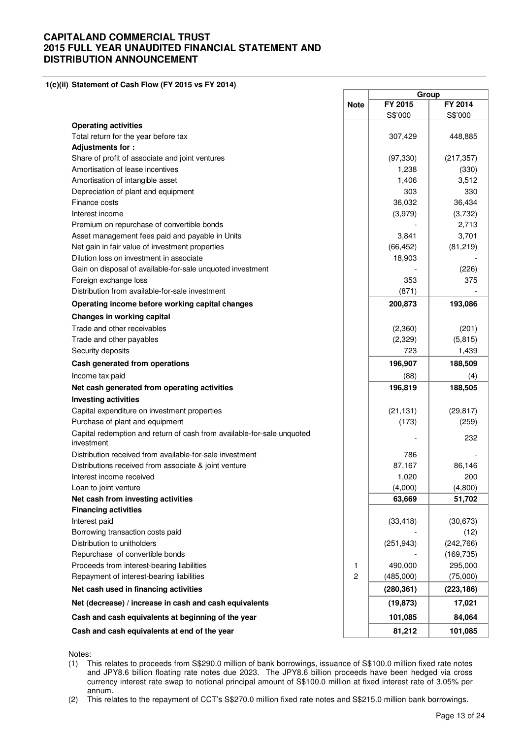**1(c)(ii) Statement of Cash Flow (FY 2015 vs FY 2014)**

|                                                                                      |                | Group      |            |
|--------------------------------------------------------------------------------------|----------------|------------|------------|
|                                                                                      | <b>Note</b>    | FY 2015    | FY 2014    |
|                                                                                      |                | S\$'000    | S\$'000    |
| <b>Operating activities</b>                                                          |                |            |            |
| Total return for the year before tax                                                 |                | 307,429    | 448,885    |
| Adjustments for:                                                                     |                |            |            |
| Share of profit of associate and joint ventures                                      |                | (97, 330)  | (217, 357) |
| Amortisation of lease incentives                                                     |                | 1,238      | (330)      |
| Amortisation of intangible asset                                                     |                | 1,406      | 3,512      |
| Depreciation of plant and equipment                                                  |                | 303        | 330        |
| Finance costs                                                                        |                | 36,032     | 36,434     |
| Interest income                                                                      |                | (3,979)    | (3,732)    |
| Premium on repurchase of convertible bonds                                           |                |            | 2,713      |
| Asset management fees paid and payable in Units                                      |                | 3,841      | 3,701      |
| Net gain in fair value of investment properties                                      |                | (66, 452)  | (81, 219)  |
| Dilution loss on investment in associate                                             |                | 18,903     |            |
| Gain on disposal of available-for-sale unquoted investment                           |                |            | (226)      |
| Foreign exchange loss                                                                |                | 353        | 375        |
| Distribution from available-for-sale investment                                      |                | (871)      |            |
| Operating income before working capital changes                                      |                | 200,873    | 193,086    |
| <b>Changes in working capital</b>                                                    |                |            |            |
| Trade and other receivables                                                          |                | (2,360)    | (201)      |
| Trade and other payables                                                             |                | (2, 329)   | (5, 815)   |
| Security deposits                                                                    |                | 723        | 1,439      |
| Cash generated from operations                                                       |                | 196,907    | 188,509    |
| Income tax paid                                                                      |                | (88)       | (4)        |
| Net cash generated from operating activities                                         |                | 196,819    | 188,505    |
| <b>Investing activities</b>                                                          |                |            |            |
| Capital expenditure on investment properties                                         |                | (21, 131)  | (29, 817)  |
| Purchase of plant and equipment                                                      |                | (173)      | (259)      |
| Capital redemption and return of cash from available-for-sale unquoted<br>investment |                |            | 232        |
| Distribution received from available-for-sale investment                             |                | 786        |            |
| Distributions received from associate & joint venture                                |                | 87,167     | 86,146     |
| Interest income received                                                             |                | 1,020      | 200        |
| Loan to joint venture                                                                |                | (4,000)    | (4,800)    |
| Net cash from investing activities                                                   |                | 63,669     | 51,702     |
| <b>Financing activities</b>                                                          |                |            |            |
| Interest paid                                                                        |                | (33, 418)  | (30, 673)  |
| Borrowing transaction costs paid                                                     |                |            | (12)       |
| Distribution to unitholders                                                          |                | (251, 943) | (242, 766) |
| Repurchase of convertible bonds                                                      |                |            | (169, 735) |
| Proceeds from interest-bearing liabilities                                           | 1              | 490,000    | 295,000    |
| Repayment of interest-bearing liabilities                                            | $\overline{c}$ | (485,000)  | (75,000)   |
| Net cash used in financing activities                                                |                | (280, 361) | (223, 186) |
| Net (decrease) / increase in cash and cash equivalents                               |                | (19, 873)  | 17,021     |
| Cash and cash equivalents at beginning of the year                                   |                | 101,085    | 84,064     |
| Cash and cash equivalents at end of the year                                         |                | 81,212     | 101,085    |
|                                                                                      |                |            |            |

Notes:

(2) This relates to the repayment of CCT's S\$270.0 million fixed rate notes and S\$215.0 million bank borrowings.

<sup>(1)</sup> This relates to proceeds from S\$290.0 million of bank borrowings, issuance of S\$100.0 million fixed rate notes and JPY8.6 billion floating rate notes due 2023. The JPY8.6 billion proceeds have been hedged via cross currency interest rate swap to notional principal amount of S\$100.0 million at fixed interest rate of 3.05% per annum.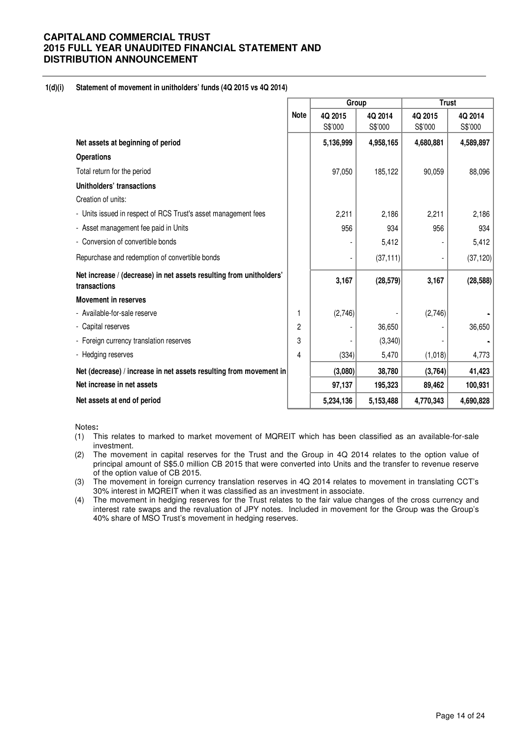### **1(d)(i) Statement of movement in unitholders' funds (4Q 2015 vs 4Q 2014)**

|                                                                                     |             | Group     |           | <b>Trust</b> |           |
|-------------------------------------------------------------------------------------|-------------|-----------|-----------|--------------|-----------|
|                                                                                     | <b>Note</b> | 4Q 2015   | 4Q 2014   | 4Q 2015      | 4Q 2014   |
|                                                                                     |             | S\$'000   | S\$'000   | S\$'000      | S\$'000   |
| Net assets at beginning of period                                                   |             | 5,136,999 | 4,958,165 | 4,680,881    | 4,589,897 |
| <b>Operations</b>                                                                   |             |           |           |              |           |
| Total return for the period                                                         |             | 97,050    | 185,122   | 90,059       | 88,096    |
| Unitholders' transactions                                                           |             |           |           |              |           |
| Creation of units:                                                                  |             |           |           |              |           |
| - Units issued in respect of RCS Trust's asset management fees                      |             | 2,211     | 2,186     | 2,211        | 2,186     |
| - Asset management fee paid in Units                                                |             | 956       | 934       | 956          | 934       |
| - Conversion of convertible bonds                                                   |             |           | 5,412     |              | 5,412     |
| Repurchase and redemption of convertible bonds                                      |             |           | (37, 111) |              | (37, 120) |
| Net increase / (decrease) in net assets resulting from unitholders'<br>transactions |             | 3,167     | (28, 579) | 3,167        | (28, 588) |
| <b>Movement in reserves</b>                                                         |             |           |           |              |           |
| - Available-for-sale reserve                                                        | 1           | (2,746)   |           | (2,746)      |           |
| - Capital reserves                                                                  | 2           |           | 36,650    |              | 36,650    |
| - Foreign currency translation reserves                                             | 3           |           | (3, 340)  |              |           |
| - Hedging reserves                                                                  | 4           | (334)     | 5,470     | (1,018)      | 4,773     |
| Net (decrease) / increase in net assets resulting from movement in                  |             | (3,080)   | 38,780    | (3,764)      | 41,423    |
| Net increase in net assets                                                          |             | 97,137    | 195,323   | 89,462       | 100,931   |
| Net assets at end of period                                                         |             | 5,234,136 | 5,153,488 | 4,770,343    | 4,690,828 |

Notes**:** 

- (1) This relates to marked to market movement of MQREIT which has been classified as an available-for-sale investment.
- (2) The movement in capital reserves for the Trust and the Group in 4Q 2014 relates to the option value of principal amount of S\$5.0 million CB 2015 that were converted into Units and the transfer to revenue reserve of the option value of CB 2015.
- (3) The movement in foreign currency translation reserves in 4Q 2014 relates to movement in translating CCT's 30% interest in MQREIT when it was classified as an investment in associate.
- (4) The movement in hedging reserves for the Trust relates to the fair value changes of the cross currency and interest rate swaps and the revaluation of JPY notes. Included in movement for the Group was the Group's 40% share of MSO Trust's movement in hedging reserves.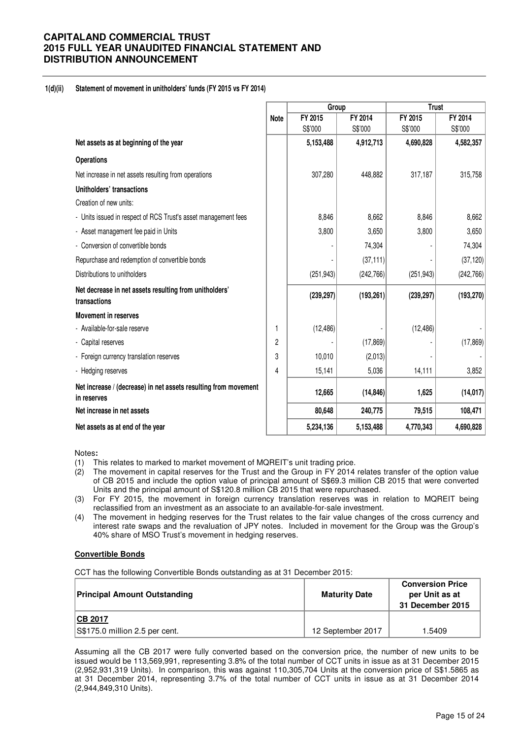### **1(d)(ii) Statement of movement in unitholders' funds (FY 2015 vs FY 2014)**

|                                                                                |             | Group      |            | <b>Trust</b> |            |
|--------------------------------------------------------------------------------|-------------|------------|------------|--------------|------------|
|                                                                                | <b>Note</b> | FY 2015    | FY 2014    | FY 2015      | FY 2014    |
|                                                                                |             | S\$'000    | S\$'000    | S\$'000      | S\$'000    |
| Net assets as at beginning of the year                                         |             | 5,153,488  | 4,912,713  | 4,690,828    | 4,582,357  |
| <b>Operations</b>                                                              |             |            |            |              |            |
| Net increase in net assets resulting from operations                           |             | 307,280    | 448,882    | 317,187      | 315,758    |
| Unitholders' transactions                                                      |             |            |            |              |            |
| Creation of new units:                                                         |             |            |            |              |            |
| - Units issued in respect of RCS Trust's asset management fees                 |             | 8,846      | 8,662      | 8,846        | 8,662      |
| - Asset management fee paid in Units                                           |             | 3,800      | 3,650      | 3,800        | 3,650      |
| - Conversion of convertible bonds                                              |             |            | 74,304     |              | 74,304     |
| Repurchase and redemption of convertible bonds                                 |             |            | (37, 111)  |              | (37, 120)  |
| Distributions to unitholders                                                   |             | (251, 943) | (242, 766) | (251, 943)   | (242, 766) |
| Net decrease in net assets resulting from unitholders'<br>transactions         |             | (239, 297) | (193, 261) | (239, 297)   | (193, 270) |
| <b>Movement in reserves</b>                                                    |             |            |            |              |            |
| - Available-for-sale reserve                                                   | 1           | (12, 486)  |            | (12, 486)    |            |
| - Capital reserves                                                             | 2           |            | (17, 869)  |              | (17, 869)  |
| - Foreign currency translation reserves                                        | 3           | 10,010     | (2,013)    |              |            |
| - Hedging reserves                                                             | 4           | 15,141     | 5,036      | 14,111       | 3,852      |
| Net increase / (decrease) in net assets resulting from movement<br>in reserves |             | 12,665     | (14, 846)  | 1,625        | (14, 017)  |
| Net increase in net assets                                                     |             | 80,648     | 240,775    | 79,515       | 108,471    |
| Net assets as at end of the year                                               |             | 5,234,136  | 5,153,488  | 4,770,343    | 4,690,828  |

Notes**:** 

- (1) This relates to marked to market movement of MQREIT's unit trading price.
- (2) The movement in capital reserves for the Trust and the Group in FY 2014 relates transfer of the option value of CB 2015 and include the option value of principal amount of S\$69.3 million CB 2015 that were converted Units and the principal amount of S\$120.8 million CB 2015 that were repurchased.
- (3) For FY 2015, the movement in foreign currency translation reserves was in relation to MQREIT being reclassified from an investment as an associate to an available-for-sale investment.
- (4) The movement in hedging reserves for the Trust relates to the fair value changes of the cross currency and interest rate swaps and the revaluation of JPY notes. Included in movement for the Group was the Group's 40% share of MSO Trust's movement in hedging reserves.

#### **Convertible Bonds**

CCT has the following Convertible Bonds outstanding as at 31 December 2015:

| <b>Principal Amount Outstanding</b> | <b>Maturity Date</b> | <b>Conversion Price</b><br>per Unit as at<br>31 December 2015 |
|-------------------------------------|----------------------|---------------------------------------------------------------|
| <b>CB 2017</b>                      |                      |                                                               |
| S\$175.0 million 2.5 per cent.      | 12 September 2017    | 1.5409                                                        |

Assuming all the CB 2017 were fully converted based on the conversion price, the number of new units to be issued would be 113,569,991, representing 3.8% of the total number of CCT units in issue as at 31 December 2015 (2,952,931,319 Units). In comparison, this was against 110,305,704 Units at the conversion price of S\$1.5865 as at 31 December 2014, representing 3.7% of the total number of CCT units in issue as at 31 December 2014 (2,944,849,310 Units).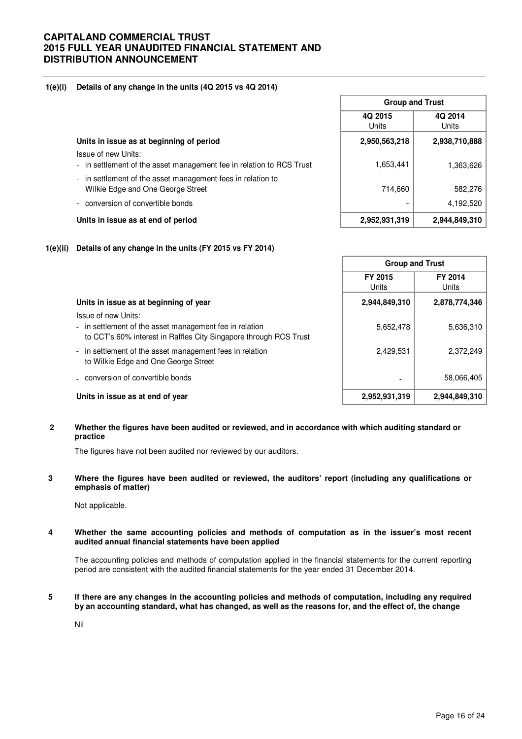### **1(e)(i) Details of any change in the units (4Q 2015 vs 4Q 2014)**

|                                                                                                  | 4Q 2015<br><b>Units</b> | 4Q 2014<br>Units |  |
|--------------------------------------------------------------------------------------------------|-------------------------|------------------|--|
| Units in issue as at beginning of period                                                         | 2,950,563,218           | 2,938,710,888    |  |
| Issue of new Units:<br>- in settlement of the asset management fee in relation to RCS Trust      | 1,653,441               | 1,363,626        |  |
| - in settlement of the asset management fees in relation to<br>Wilkie Edge and One George Street | 714,660                 | 582,276          |  |
| - conversion of convertible bonds                                                                |                         | 4,192,520        |  |
| Units in issue as at end of period                                                               | 2,952,931,319           | 2,944,849,310    |  |

**Group and Trust**

### **1(e)(ii) Details of any change in the units (FY 2015 vs FY 2014)**

|                                                                                                                                                     | <b>Group and Trust</b> |                  |  |
|-----------------------------------------------------------------------------------------------------------------------------------------------------|------------------------|------------------|--|
|                                                                                                                                                     | FY 2015<br>Units       | FY 2014<br>Units |  |
| Units in issue as at beginning of year                                                                                                              | 2,944,849,310          | 2,878,774,346    |  |
| Issue of new Units:<br>- in settlement of the asset management fee in relation<br>to CCT's 60% interest in Raffles City Singapore through RCS Trust | 5,652,478              | 5,636,310        |  |
| - in settlement of the asset management fees in relation<br>to Wilkie Edge and One George Street                                                    | 2,429,531              | 2,372,249        |  |
| . conversion of convertible bonds                                                                                                                   | ۰                      | 58,066,405       |  |
| Units in issue as at end of year                                                                                                                    | 2,952,931,319          | 2,944,849,310    |  |

### **2 Whether the figures have been audited or reviewed, and in accordance with which auditing standard or practice**

The figures have not been audited nor reviewed by our auditors.

**3 Where the figures have been audited or reviewed, the auditors' report (including any qualifications or emphasis of matter)** 

Not applicable.

#### **4 Whether the same accounting policies and methods of computation as in the issuer's most recent audited annual financial statements have been applied**

The accounting policies and methods of computation applied in the financial statements for the current reporting period are consistent with the audited financial statements for the year ended 31 December 2014.

#### **5 If there are any changes in the accounting policies and methods of computation, including any required by an accounting standard, what has changed, as well as the reasons for, and the effect of, the change**

Nil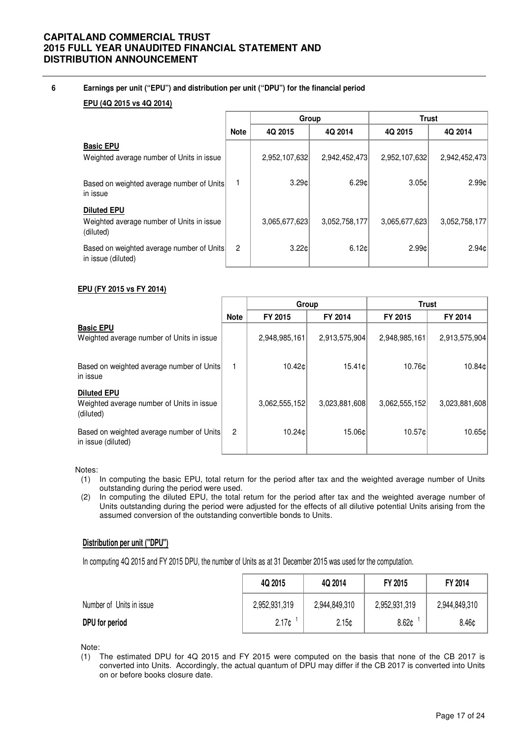### **6 Earnings per unit ("EPU") and distribution per unit ("DPU") for the financial period**

### **EPU (4Q 2015 vs 4Q 2014)**

|                                                                              |                | Group         |               |               | <b>Trust</b>  |
|------------------------------------------------------------------------------|----------------|---------------|---------------|---------------|---------------|
|                                                                              | <b>Note</b>    | 4Q 2015       | 4Q 2014       | 4Q 2015       | 4Q 2014       |
| <b>Basic EPU</b><br>Weighted average number of Units in issue                |                | 2,952,107,632 | 2,942,452,473 | 2,952,107,632 | 2,942,452,473 |
| Based on weighted average number of Units<br>in issue                        |                | 3.29c         | 6.29c         | 3.05c         | 2.99c         |
| <b>Diluted EPU</b><br>Weighted average number of Units in issue<br>(diluted) |                | 3,065,677,623 | 3,052,758,177 | 3.065.677.623 | 3,052,758,177 |
| Based on weighted average number of Units<br>in issue (diluted)              | $\overline{2}$ | 3.22c         | 6.12c         | 2.99c         | 2.94c         |

### **EPU (FY 2015 vs FY 2014)**

|                                                                              |                | Group         |               | <b>Trust</b>  |               |  |
|------------------------------------------------------------------------------|----------------|---------------|---------------|---------------|---------------|--|
|                                                                              | <b>Note</b>    | FY 2015       | FY 2014       | FY 2015       | FY 2014       |  |
| <b>Basic EPU</b><br>Weighted average number of Units in issue                |                | 2,948,985,161 | 2,913,575,904 | 2,948,985,161 | 2,913,575,904 |  |
| Based on weighted average number of Units<br>in issue                        | 1              | 10.42c        | 15.41c        | 10.76¢l       | 10.84¢        |  |
| <b>Diluted EPU</b><br>Weighted average number of Units in issue<br>(diluted) |                | 3.062,555,152 | 3,023,881,608 | 3,062,555,152 | 3,023,881,608 |  |
| Based on weighted average number of Units<br>in issue (diluted)              | $\overline{2}$ | 10.24c        | 15.06c        | 10.57¢l       | 10.65c        |  |

#### Notes:

- (1) In computing the basic EPU, total return for the period after tax and the weighted average number of Units outstanding during the period were used.
- (2) In computing the diluted EPU, the total return for the period after tax and the weighted average number of Units outstanding during the period were adjusted for the effects of all dilutive potential Units arising from the assumed conversion of the outstanding convertible bonds to Units.

### **Distribution per unit ("DPU")**

In computing 4Q 2015 and FY 2015 DPU, the number of Units as at 31 December 2015 was used for the computation.

|                          | 4Q 2015       | 4Q 2014       | FY 2015           | FY 2014       |
|--------------------------|---------------|---------------|-------------------|---------------|
| Number of Units in issue | 2,952,931,319 | 2,944,849,310 | 2,952,931,319     | 2,944,849,310 |
| DPU for period           | 2.17c         | 2.15c         | 8.62 <sub>0</sub> | 8.46¢         |

Note:

(1) The estimated DPU for 4Q 2015 and FY 2015 were computed on the basis that none of the CB 2017 is converted into Units. Accordingly, the actual quantum of DPU may differ if the CB 2017 is converted into Units on or before books closure date.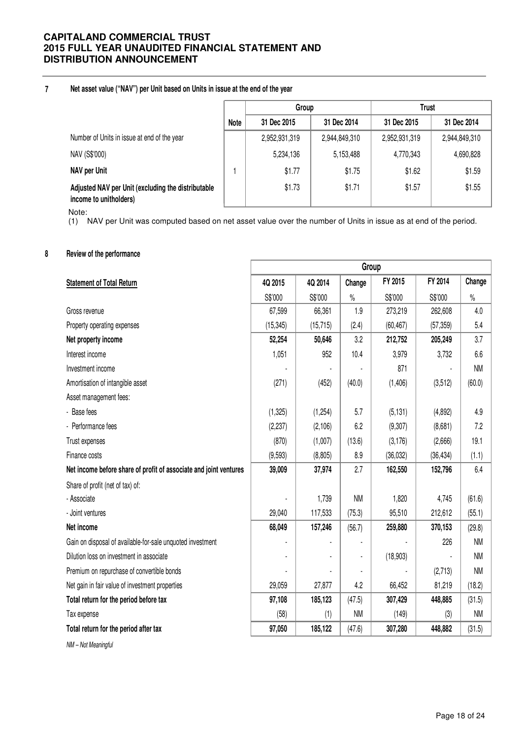#### **7 Net asset value ("NAV") per Unit based on Units in issue at the end of the year**

|                                                                              |      | Group         |               | <b>Trust</b>  |               |
|------------------------------------------------------------------------------|------|---------------|---------------|---------------|---------------|
|                                                                              | Note | 31 Dec 2015   | 31 Dec 2014   | 31 Dec 2015   | 31 Dec 2014   |
| Number of Units in issue at end of the year                                  |      | 2,952,931,319 | 2,944,849,310 | 2,952,931,319 | 2,944,849,310 |
| NAV (S\$'000)                                                                |      | 5,234,136     | 5,153,488     | 4,770,343     | 4,690,828     |
| NAV per Unit                                                                 |      | \$1.77        | \$1.75        | \$1.62        | \$1.59        |
| Adjusted NAV per Unit (excluding the distributable<br>income to unitholders) |      | \$1.73        | \$1.71        | \$1.57        | \$1.55        |

Note:

(1) NAV per Unit was computed based on net asset value over the number of Units in issue as at end of the period.

### **8 Review of the performance**

|                                                                   | Group     |           |           |           |           |           |
|-------------------------------------------------------------------|-----------|-----------|-----------|-----------|-----------|-----------|
| <b>Statement of Total Return</b>                                  | 4Q 2015   | 4Q 2014   | Change    | FY 2015   | FY 2014   | Change    |
|                                                                   | S\$'000   | S\$'000   | $\%$      | S\$'000   | S\$'000   | $\%$      |
| Gross revenue                                                     | 67,599    | 66,361    | 1.9       | 273,219   | 262,608   | 4.0       |
| Property operating expenses                                       | (15, 345) | (15, 715) | (2.4)     | (60, 467) | (57, 359) | 5.4       |
| Net property income                                               | 52,254    | 50,646    | 3.2       | 212,752   | 205,249   | 3.7       |
| Interest income                                                   | 1,051     | 952       | 10.4      | 3,979     | 3,732     | 6.6       |
| Investment income                                                 |           |           |           | 871       |           | <b>NM</b> |
| Amortisation of intangible asset                                  | (271)     | (452)     | (40.0)    | (1, 406)  | (3,512)   | (60.0)    |
| Asset management fees:                                            |           |           |           |           |           |           |
| - Base fees                                                       | (1, 325)  | (1,254)   | 5.7       | (5, 131)  | (4,892)   | 4.9       |
| - Performance fees                                                | (2, 237)  | (2, 106)  | 6.2       | (9, 307)  | (8,681)   | 7.2       |
| Trust expenses                                                    | (870)     | (1,007)   | (13.6)    | (3, 176)  | (2,666)   | 19.1      |
| Finance costs                                                     | (9,593)   | (8,805)   | 8.9       | (36, 032) | (36, 434) | (1.1)     |
| Net income before share of profit of associate and joint ventures | 39,009    | 37,974    | 2.7       | 162,550   | 152,796   | 6.4       |
| Share of profit (net of tax) of:                                  |           |           |           |           |           |           |
| - Associate                                                       |           | 1,739     | <b>NM</b> | 1,820     | 4,745     | (61.6)    |
| - Joint ventures                                                  | 29,040    | 117,533   | (75.3)    | 95,510    | 212,612   | (55.1)    |
| Net income                                                        | 68,049    | 157,246   | (56.7)    | 259,880   | 370,153   | (29.8)    |
| Gain on disposal of available-for-sale unquoted investment        |           |           |           |           | 226       | <b>NM</b> |
| Dilution loss on investment in associate                          |           |           | ٠         | (18,903)  |           | <b>NM</b> |
| Premium on repurchase of convertible bonds                        |           |           |           |           | (2,713)   | <b>NM</b> |
| Net gain in fair value of investment properties                   | 29,059    | 27,877    | 4.2       | 66,452    | 81,219    | (18.2)    |
| Total return for the period before tax                            | 97,108    | 185,123   | (47.5)    | 307,429   | 448,885   | (31.5)    |
| Tax expense                                                       | (58)      | (1)       | <b>NM</b> | (149)     | (3)       | <b>NM</b> |
| Total return for the period after tax                             | 97,050    | 185,122   | (47.6)    | 307,280   | 448,882   | (31.5)    |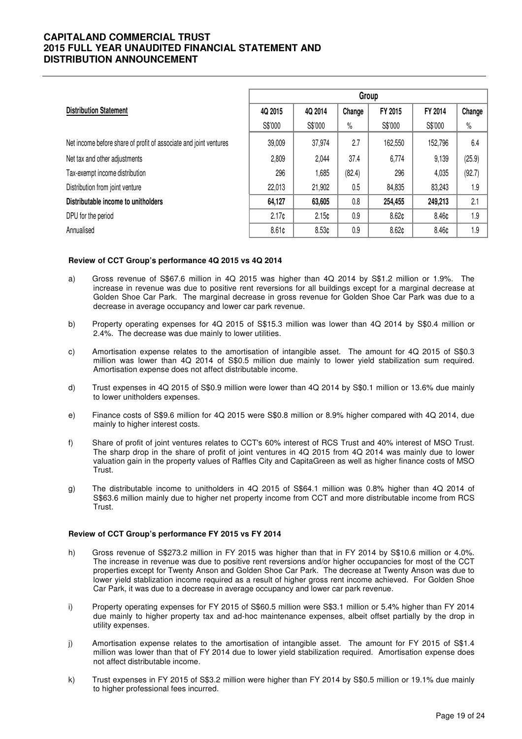|                                                                   | Group             |                   |        |                   |         |        |  |
|-------------------------------------------------------------------|-------------------|-------------------|--------|-------------------|---------|--------|--|
| <b>Distribution Statement</b>                                     | 4Q 2015           | 4Q 2014           | Change | FY 2015           | FY 2014 | Change |  |
|                                                                   | S\$'000           | S\$'000           | $\%$   | S\$'000           | S\$'000 | $\%$   |  |
| Net income before share of profit of associate and joint ventures | 39,009            | 37,974            | 2.7    | 162,550           | 152,796 | 6.4    |  |
| Net tax and other adjustments                                     | 2,809             | 2,044             | 37.4   | 6,774             | 9,139   | (25.9) |  |
| Tax-exempt income distribution                                    | 296               | 1,685             | (82.4) | 296               | 4,035   | (92.7) |  |
| Distribution from joint venture                                   | 22,013            | 21,902            | 0.5    | 84,835            | 83,243  | 1.9    |  |
| Distributable income to unitholders                               | 64,127            | 63,605            | 0.8    | 254,455           | 249,213 | 2.1    |  |
| DPU for the period                                                | 2.17 <sub>c</sub> | 2.15 <sub>0</sub> | 0.9    | 8.62 <sub>0</sub> | 8.46¢   | 1.9    |  |
| Annualised                                                        | 8.61c             | 8.53 <sub>0</sub> | 0.9    | 8.62 <sub>0</sub> | 8.46¢   | 1.9    |  |

#### **Review of CCT Group's performance 4Q 2015 vs 4Q 2014**

- a) Gross revenue of S\$67.6 million in 4Q 2015 was higher than 4Q 2014 by S\$1.2 million or 1.9%. The increase in revenue was due to positive rent reversions for all buildings except for a marginal decrease at Golden Shoe Car Park. The marginal decrease in gross revenue for Golden Shoe Car Park was due to a decrease in average occupancy and lower car park revenue.
- b) Property operating expenses for 4Q 2015 of S\$15.3 million was lower than 4Q 2014 by S\$0.4 million or 2.4%. The decrease was due mainly to lower utilities.
- c) Amortisation expense relates to the amortisation of intangible asset. The amount for 4Q 2015 of S\$0.3 million was lower than 4Q 2014 of S\$0.5 million due mainly to lower yield stabilization sum required. Amortisation expense does not affect distributable income.
- d) Trust expenses in 4Q 2015 of S\$0.9 million were lower than 4Q 2014 by S\$0.1 million or 13.6% due mainly to lower unitholders expenses.
- e) Finance costs of S\$9.6 million for 4Q 2015 were S\$0.8 million or 8.9% higher compared with 4Q 2014, due mainly to higher interest costs.
- f) Share of profit of joint ventures relates to CCT's 60% interest of RCS Trust and 40% interest of MSO Trust. The sharp drop in the share of profit of joint ventures in 4Q 2015 from 4Q 2014 was mainly due to lower valuation gain in the property values of Raffles City and CapitaGreen as well as higher finance costs of MSO Trust.
- g) The distributable income to unitholders in 4Q 2015 of S\$64.1 million was 0.8% higher than 4Q 2014 of S\$63.6 million mainly due to higher net property income from CCT and more distributable income from RCS Trust.

#### **Review of CCT Group's performance FY 2015 vs FY 2014**

- h) Gross revenue of S\$273.2 million in FY 2015 was higher than that in FY 2014 by S\$10.6 million or 4.0%. The increase in revenue was due to positive rent reversions and/or higher occupancies for most of the CCT properties except for Twenty Anson and Golden Shoe Car Park. The decrease at Twenty Anson was due to lower yield stablization income required as a result of higher gross rent income achieved. For Golden Shoe Car Park, it was due to a decrease in average occupancy and lower car park revenue.
- i) Property operating expenses for FY 2015 of S\$60.5 million were S\$3.1 million or 5.4% higher than FY 2014 due mainly to higher property tax and ad-hoc maintenance expenses, albeit offset partially by the drop in utility expenses.
- j) Amortisation expense relates to the amortisation of intangible asset. The amount for FY 2015 of S\$1.4 million was lower than that of FY 2014 due to lower yield stabilization required. Amortisation expense does not affect distributable income.
- k) Trust expenses in FY 2015 of S\$3.2 million were higher than FY 2014 by S\$0.5 million or 19.1% due mainly to higher professional fees incurred.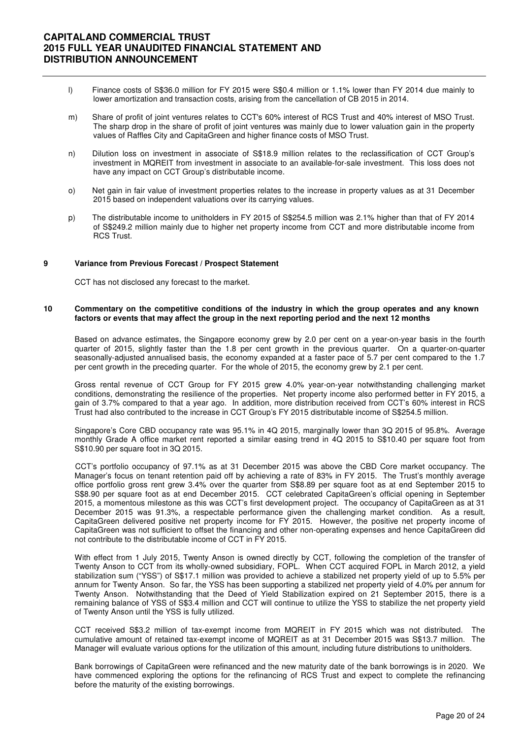- l) Finance costs of S\$36.0 million for FY 2015 were S\$0.4 million or 1.1% lower than FY 2014 due mainly to lower amortization and transaction costs, arising from the cancellation of CB 2015 in 2014.
- m) Share of profit of joint ventures relates to CCT's 60% interest of RCS Trust and 40% interest of MSO Trust. The sharp drop in the share of profit of joint ventures was mainly due to lower valuation gain in the property values of Raffles City and CapitaGreen and higher finance costs of MSO Trust.
- n) Dilution loss on investment in associate of S\$18.9 million relates to the reclassification of CCT Group's investment in MQREIT from investment in associate to an available-for-sale investment. This loss does not have any impact on CCT Group's distributable income.
- o) Net gain in fair value of investment properties relates to the increase in property values as at 31 December 2015 based on independent valuations over its carrying values.
- p) The distributable income to unitholders in FY 2015 of S\$254.5 million was 2.1% higher than that of FY 2014 of S\$249.2 million mainly due to higher net property income from CCT and more distributable income from RCS Trust.

#### **9 Variance from Previous Forecast / Prospect Statement**

CCT has not disclosed any forecast to the market.

#### **10 Commentary on the competitive conditions of the industry in which the group operates and any known factors or events that may affect the group in the next reporting period and the next 12 months**

Based on advance estimates, the Singapore economy grew by 2.0 per cent on a year-on-year basis in the fourth quarter of 2015, slightly faster than the 1.8 per cent growth in the previous quarter. On a quarter-on-quarter seasonally-adjusted annualised basis, the economy expanded at a faster pace of 5.7 per cent compared to the 1.7 per cent growth in the preceding quarter. For the whole of 2015, the economy grew by 2.1 per cent.

 Gross rental revenue of CCT Group for FY 2015 grew 4.0% year-on-year notwithstanding challenging market conditions, demonstrating the resilience of the properties. Net property income also performed better in FY 2015, a gain of 3.7% compared to that a year ago. In addition, more distribution received from CCT's 60% interest in RCS Trust had also contributed to the increase in CCT Group's FY 2015 distributable income of S\$254.5 million.

 Singapore's Core CBD occupancy rate was 95.1% in 4Q 2015, marginally lower than 3Q 2015 of 95.8%. Average monthly Grade A office market rent reported a similar easing trend in 4Q 2015 to S\$10.40 per square foot from S\$10.90 per square foot in 3Q 2015.

CCT's portfolio occupancy of 97.1% as at 31 December 2015 was above the CBD Core market occupancy. The Manager's focus on tenant retention paid off by achieving a rate of 83% in FY 2015. The Trust's monthly average office portfolio gross rent grew 3.4% over the quarter from S\$8.89 per square foot as at end September 2015 to S\$8.90 per square foot as at end December 2015. CCT celebrated CapitaGreen's official opening in September 2015, a momentous milestone as this was CCT's first development project. The occupancy of CapitaGreen as at 31 December 2015 was 91.3%, a respectable performance given the challenging market condition. As a result, CapitaGreen delivered positive net property income for FY 2015. However, the positive net property income of CapitaGreen was not sufficient to offset the financing and other non-operating expenses and hence CapitaGreen did not contribute to the distributable income of CCT in FY 2015.

 With effect from 1 July 2015, Twenty Anson is owned directly by CCT, following the completion of the transfer of Twenty Anson to CCT from its wholly-owned subsidiary, FOPL. When CCT acquired FOPL in March 2012, a yield stabilization sum ("YSS") of S\$17.1 million was provided to achieve a stabilized net property yield of up to 5.5% per annum for Twenty Anson. So far, the YSS has been supporting a stabilized net property yield of 4.0% per annum for Twenty Anson. Notwithstanding that the Deed of Yield Stabilization expired on 21 September 2015, there is a remaining balance of YSS of S\$3.4 million and CCT will continue to utilize the YSS to stabilize the net property yield of Twenty Anson until the YSS is fully utilized.

 CCT received S\$3.2 million of tax-exempt income from MQREIT in FY 2015 which was not distributed. The cumulative amount of retained tax-exempt income of MQREIT as at 31 December 2015 was S\$13.7 million. The Manager will evaluate various options for the utilization of this amount, including future distributions to unitholders.

 Bank borrowings of CapitaGreen were refinanced and the new maturity date of the bank borrowings is in 2020. We have commenced exploring the options for the refinancing of RCS Trust and expect to complete the refinancing before the maturity of the existing borrowings.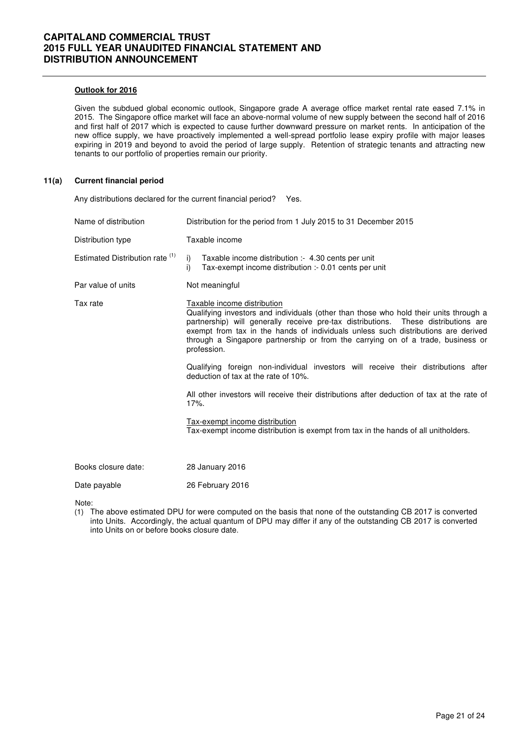### **Outlook for 2016**

 Given the subdued global economic outlook, Singapore grade A average office market rental rate eased 7.1% in 2015. The Singapore office market will face an above-normal volume of new supply between the second half of 2016 and first half of 2017 which is expected to cause further downward pressure on market rents. In anticipation of the new office supply, we have proactively implemented a well-spread portfolio lease expiry profile with major leases expiring in 2019 and beyond to avoid the period of large supply. Retention of strategic tenants and attracting new tenants to our portfolio of properties remain our priority.

#### **11(a) Current financial period**

 Any distributions declared for the current financial period? Yes. Name of distribution Distribution for the period from 1 July 2015 to 31 December 2015 Distribution type Taxable income Estimated Distribution rate  $(1)$  i) Taxable income distribution :- 4.30 cents per unit i) Tax-exempt income distribution :- 0.01 cents per unit Par value of units Not meaningful Tax rate Taxable income distribution Qualifying investors and individuals (other than those who hold their units through a partnership) will generally receive pre-tax distributions. These distributions are exempt from tax in the hands of individuals unless such distributions are derived through a Singapore partnership or from the carrying on of a trade, business or profession. Qualifying foreign non-individual investors will receive their distributions after deduction of tax at the rate of 10%. All other investors will receive their distributions after deduction of tax at the rate of 17%. Tax-exempt income distribution Tax-exempt income distribution is exempt from tax in the hands of all unitholders. Books closure date: 28 January 2016 Date payable 26 February 2016 Note:

(1) The above estimated DPU for were computed on the basis that none of the outstanding CB 2017 is converted into Units. Accordingly, the actual quantum of DPU may differ if any of the outstanding CB 2017 is converted into Units on or before books closure date.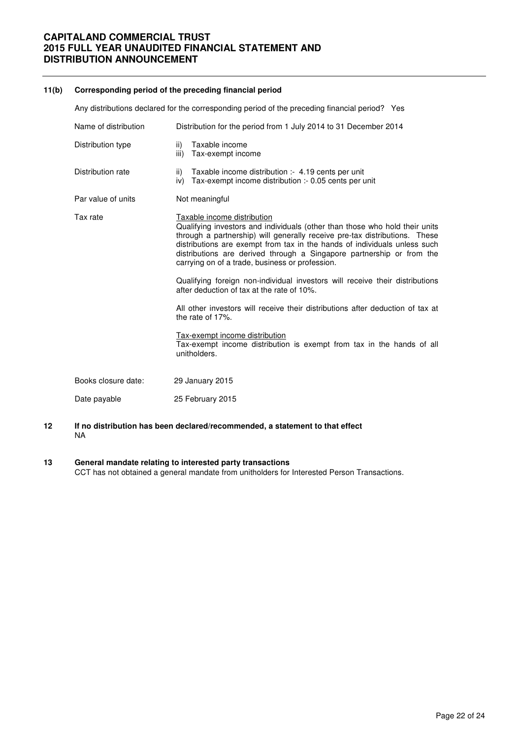### **11(b) Corresponding period of the preceding financial period**

| Any distributions declared for the corresponding period of the preceding financial period? Yes |                                                                                                                                                                                                                                                                                                                                                                                                                                                                                                                                                                                                                                                                                                                                                                  |  |  |  |  |
|------------------------------------------------------------------------------------------------|------------------------------------------------------------------------------------------------------------------------------------------------------------------------------------------------------------------------------------------------------------------------------------------------------------------------------------------------------------------------------------------------------------------------------------------------------------------------------------------------------------------------------------------------------------------------------------------------------------------------------------------------------------------------------------------------------------------------------------------------------------------|--|--|--|--|
| Name of distribution                                                                           | Distribution for the period from 1 July 2014 to 31 December 2014                                                                                                                                                                                                                                                                                                                                                                                                                                                                                                                                                                                                                                                                                                 |  |  |  |  |
| Distribution type                                                                              | Taxable income<br>ii)<br>Tax-exempt income<br>iii)                                                                                                                                                                                                                                                                                                                                                                                                                                                                                                                                                                                                                                                                                                               |  |  |  |  |
| Distribution rate                                                                              | ii) Taxable income distribution :- 4.19 cents per unit<br>iv) Tax-exempt income distribution :- 0.05 cents per unit                                                                                                                                                                                                                                                                                                                                                                                                                                                                                                                                                                                                                                              |  |  |  |  |
| Par value of units                                                                             | Not meaningful                                                                                                                                                                                                                                                                                                                                                                                                                                                                                                                                                                                                                                                                                                                                                   |  |  |  |  |
| Tax rate                                                                                       | Taxable income distribution<br>Qualifying investors and individuals (other than those who hold their units<br>through a partnership) will generally receive pre-tax distributions. These<br>distributions are exempt from tax in the hands of individuals unless such<br>distributions are derived through a Singapore partnership or from the<br>carrying on of a trade, business or profession.<br>Qualifying foreign non-individual investors will receive their distributions<br>after deduction of tax at the rate of 10%.<br>All other investors will receive their distributions after deduction of tax at<br>the rate of 17%.<br>Tax-exempt income distribution<br>Tax-exempt income distribution is exempt from tax in the hands of all<br>unitholders. |  |  |  |  |
| Books closure date:                                                                            | 29 January 2015                                                                                                                                                                                                                                                                                                                                                                                                                                                                                                                                                                                                                                                                                                                                                  |  |  |  |  |
| Date payable                                                                                   | 25 February 2015                                                                                                                                                                                                                                                                                                                                                                                                                                                                                                                                                                                                                                                                                                                                                 |  |  |  |  |

- **12 If no distribution has been declared/recommended, a statement to that effect**  NA
- **13 General mandate relating to interested party transactions** CCT has not obtained a general mandate from unitholders for Interested Person Transactions.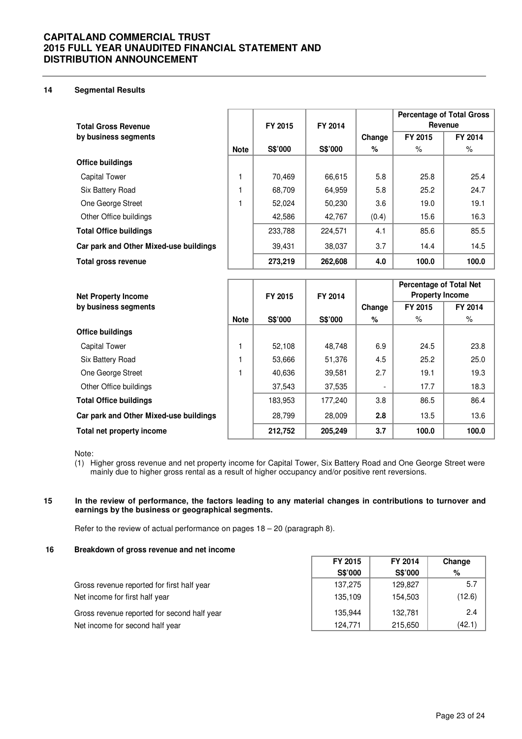### **14 Segmental Results**

| <b>Total Gross Revenue</b>             |             | FY 2015 | FY 2014 | <b>Percentage of Total Gross</b><br>Revenue |         |         |
|----------------------------------------|-------------|---------|---------|---------------------------------------------|---------|---------|
| by business segments                   |             |         |         | Change                                      | FY 2015 | FY 2014 |
|                                        | <b>Note</b> | S\$'000 | S\$'000 | %                                           | %       | %       |
| <b>Office buildings</b>                |             |         |         |                                             |         |         |
| Capital Tower                          |             | 70.469  | 66,615  | 5.8                                         | 25.8    | 25.4    |
| Six Battery Road                       |             | 68,709  | 64,959  | 5.8                                         | 25.2    | 24.7    |
| One George Street                      |             | 52.024  | 50,230  | 3.6                                         | 19.0    | 19.1    |
| Other Office buildings                 |             | 42,586  | 42,767  | (0.4)                                       | 15.6    | 16.3    |
| <b>Total Office buildings</b>          |             | 233,788 | 224,571 | 4.1                                         | 85.6    | 85.5    |
| Car park and Other Mixed-use buildings |             | 39,431  | 38,037  | 3.7                                         | 14.4    | 14.5    |
| Total gross revenue                    |             | 273,219 | 262,608 | 4.0                                         | 100.0   | 100.0   |

| <b>Net Property Income</b>             |             | FY 2015 | FY 2014 | <b>Percentage of Total Net</b><br><b>Property Income</b> |         |         |
|----------------------------------------|-------------|---------|---------|----------------------------------------------------------|---------|---------|
| by business segments                   |             |         |         | Change                                                   | FY 2015 | FY 2014 |
|                                        | <b>Note</b> | S\$'000 | S\$'000 | %                                                        | $\%$    | ℅       |
| <b>Office buildings</b>                |             |         |         |                                                          |         |         |
| <b>Capital Tower</b>                   |             | 52,108  | 48,748  | 6.9                                                      | 24.5    | 23.8    |
| Six Battery Road                       |             | 53,666  | 51,376  | 4.5                                                      | 25.2    | 25.0    |
| One George Street                      |             | 40,636  | 39,581  | 2.7                                                      | 19.1    | 19.3    |
| Other Office buildings                 |             | 37,543  | 37,535  | ٠                                                        | 17.7    | 18.3    |
| <b>Total Office buildings</b>          |             | 183,953 | 177,240 | 3.8                                                      | 86.5    | 86.4    |
| Car park and Other Mixed-use buildings |             | 28,799  | 28,009  | 2.8                                                      | 13.5    | 13.6    |
| Total net property income              |             | 212.752 | 205.249 | 3.7                                                      | 100.0   | 100.0   |

Note:

(1) Higher gross revenue and net property income for Capital Tower, Six Battery Road and One George Street were mainly due to higher gross rental as a result of higher occupancy and/or positive rent reversions.

### **15 In the review of performance, the factors leading to any material changes in contributions to turnover and earnings by the business or geographical segments.**

Refer to the review of actual performance on pages 18 – 20 (paragraph 8).

### **16 Breakdown of gross revenue and net income**

|                                             | FY 2015<br>FY 2014 |         | Change |  |
|---------------------------------------------|--------------------|---------|--------|--|
|                                             | S\$'000            | S\$'000 | %      |  |
| Gross revenue reported for first half year  | 137,275            | 129,827 | 5.7    |  |
| Net income for first half year              | 135,109            | 154,503 | (12.6) |  |
| Gross revenue reported for second half year | 135.944            | 132.781 | 2.4    |  |
| Net income for second half year             | 124,771            | 215,650 | (42.1) |  |

٦